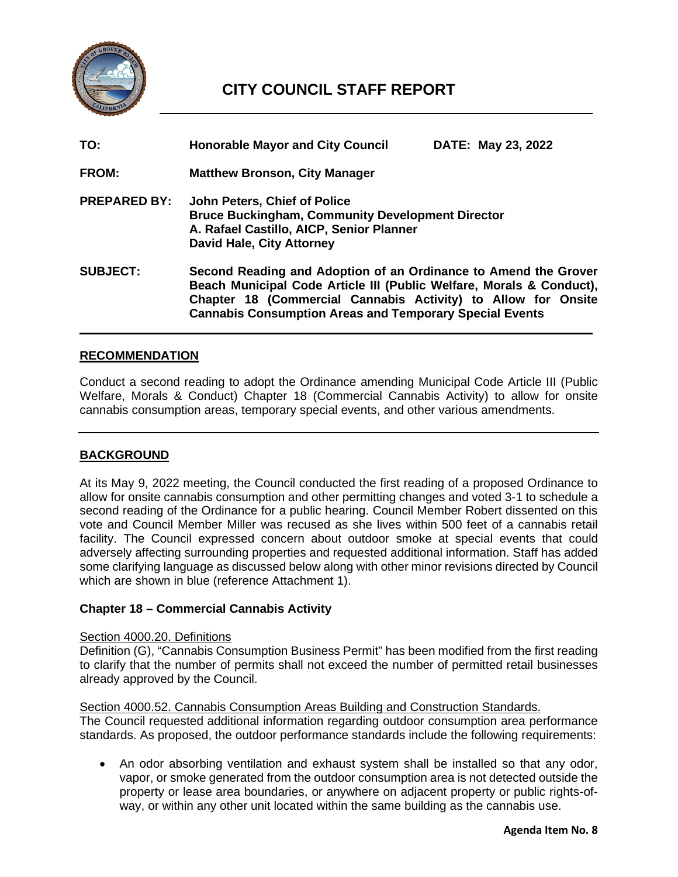

# **CITY COUNCIL STAFF REPORT**

| TO:                 | <b>Honorable Mayor and City Council</b>                                                                                                                                                                                                                                    | DATE: May 23, 2022 |
|---------------------|----------------------------------------------------------------------------------------------------------------------------------------------------------------------------------------------------------------------------------------------------------------------------|--------------------|
| <b>FROM:</b>        | <b>Matthew Bronson, City Manager</b>                                                                                                                                                                                                                                       |                    |
| <b>PREPARED BY:</b> | John Peters, Chief of Police<br><b>Bruce Buckingham, Community Development Director</b><br>A. Rafael Castillo, AICP, Senior Planner<br><b>David Hale, City Attorney</b>                                                                                                    |                    |
| <b>SUBJECT:</b>     | Second Reading and Adoption of an Ordinance to Amend the Grover<br>Beach Municipal Code Article III (Public Welfare, Morals & Conduct),<br>Chapter 18 (Commercial Cannabis Activity) to Allow for Onsite<br><b>Cannabis Consumption Areas and Temporary Special Events</b> |                    |

#### **RECOMMENDATION**

Conduct a second reading to adopt the Ordinance amending Municipal Code Article III (Public Welfare, Morals & Conduct) Chapter 18 (Commercial Cannabis Activity) to allow for onsite cannabis consumption areas, temporary special events, and other various amendments.

#### **BACKGROUND**

At its May 9, 2022 meeting, the Council conducted the first reading of a proposed Ordinance to allow for onsite cannabis consumption and other permitting changes and voted 3-1 to schedule a second reading of the Ordinance for a public hearing. Council Member Robert dissented on this vote and Council Member Miller was recused as she lives within 500 feet of a cannabis retail facility. The Council expressed concern about outdoor smoke at special events that could adversely affecting surrounding properties and requested additional information. Staff has added some clarifying language as discussed below along with other minor revisions directed by Council which are shown in blue (reference Attachment 1).

#### **Chapter 18 – Commercial Cannabis Activity**

#### Section 4000.20. Definitions

Definition (G), "Cannabis Consumption Business Permit" has been modified from the first reading to clarify that the number of permits shall not exceed the number of permitted retail businesses already approved by the Council.

# Section 4000.52. Cannabis Consumption Areas Building and Construction Standards.

The Council requested additional information regarding outdoor consumption area performance standards. As proposed, the outdoor performance standards include the following requirements:

• An odor absorbing ventilation and exhaust system shall be installed so that any odor, vapor, or smoke generated from the outdoor consumption area is not detected outside the property or lease area boundaries, or anywhere on adjacent property or public rights-ofway, or within any other unit located within the same building as the cannabis use.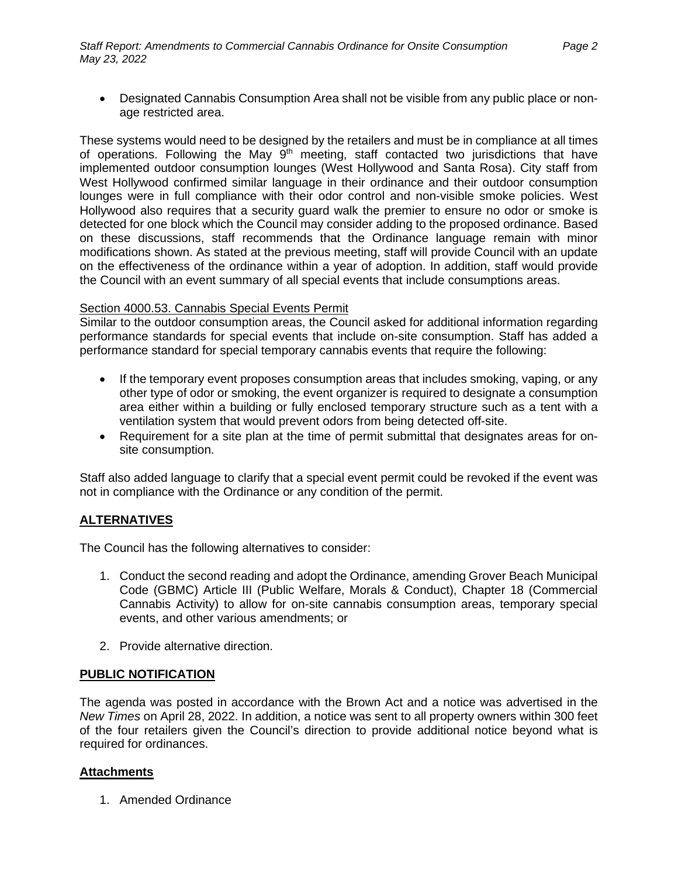• Designated Cannabis Consumption Area shall not be visible from any public place or nonage restricted area.

These systems would need to be designed by the retailers and must be in compliance at all times of operations. Following the May  $9<sup>th</sup>$  meeting, staff contacted two jurisdictions that have implemented outdoor consumption lounges (West Hollywood and Santa Rosa). City staff from West Hollywood confirmed similar language in their ordinance and their outdoor consumption lounges were in full compliance with their odor control and non-visible smoke policies. West Hollywood also requires that a security guard walk the premier to ensure no odor or smoke is detected for one block which the Council may consider adding to the proposed ordinance. Based on these discussions, staff recommends that the Ordinance language remain with minor modifications shown. As stated at the previous meeting, staff will provide Council with an update on the effectiveness of the ordinance within a year of adoption. In addition, staff would provide the Council with an event summary of all special events that include consumptions areas.

#### Section 4000.53. Cannabis Special Events Permit

Similar to the outdoor consumption areas, the Council asked for additional information regarding performance standards for special events that include on-site consumption. Staff has added a performance standard for special temporary cannabis events that require the following:

- If the temporary event proposes consumption areas that includes smoking, vaping, or any other type of odor or smoking, the event organizer is required to designate a consumption area either within a building or fully enclosed temporary structure such as a tent with a ventilation system that would prevent odors from being detected off-site.
- Requirement for a site plan at the time of permit submittal that designates areas for onsite consumption.

Staff also added language to clarify that a special event permit could be revoked if the event was not in compliance with the Ordinance or any condition of the permit.

### **ALTERNATIVES**

The Council has the following alternatives to consider:

- 1. Conduct the second reading and adopt the Ordinance, amending Grover Beach Municipal Code (GBMC) Article III (Public Welfare, Morals & Conduct), Chapter 18 (Commercial Cannabis Activity) to allow for on-site cannabis consumption areas, temporary special events, and other various amendments; or
- 2. Provide alternative direction.

#### **PUBLIC NOTIFICATION**

The agenda was posted in accordance with the Brown Act and a notice was advertised in the *New Times* on April 28, 2022. In addition, a notice was sent to all property owners within 300 feet of the four retailers given the Council's direction to provide additional notice beyond what is required for ordinances.

#### **Attachments**

1. Amended Ordinance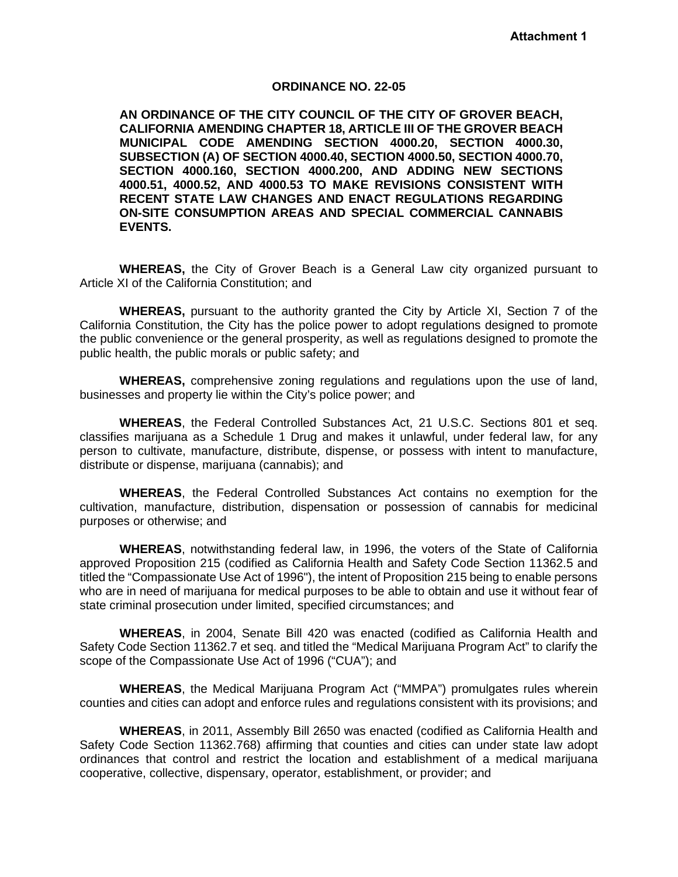#### **ORDINANCE NO. 22-05**

**AN ORDINANCE OF THE CITY COUNCIL OF THE CITY OF GROVER BEACH, CALIFORNIA AMENDING CHAPTER 18, ARTICLE III OF THE GROVER BEACH MUNICIPAL CODE AMENDING SECTION 4000.20, SECTION 4000.30, SUBSECTION (A) OF SECTION 4000.40, SECTION 4000.50, SECTION 4000.70, SECTION 4000.160, SECTION 4000.200, AND ADDING NEW SECTIONS 4000.51, 4000.52, AND 4000.53 TO MAKE REVISIONS CONSISTENT WITH RECENT STATE LAW CHANGES AND ENACT REGULATIONS REGARDING ON-SITE CONSUMPTION AREAS AND SPECIAL COMMERCIAL CANNABIS EVENTS.**

**WHEREAS,** the City of Grover Beach is a General Law city organized pursuant to Article XI of the California Constitution; and

**WHEREAS,** pursuant to the authority granted the City by Article XI, Section 7 of the California Constitution, the City has the police power to adopt regulations designed to promote the public convenience or the general prosperity, as well as regulations designed to promote the public health, the public morals or public safety; and

**WHEREAS,** comprehensive zoning regulations and regulations upon the use of land, businesses and property lie within the City's police power; and

**WHEREAS**, the Federal Controlled Substances Act, 21 U.S.C. Sections 801 et seq. classifies marijuana as a Schedule 1 Drug and makes it unlawful, under federal law, for any person to cultivate, manufacture, distribute, dispense, or possess with intent to manufacture, distribute or dispense, marijuana (cannabis); and

**WHEREAS**, the Federal Controlled Substances Act contains no exemption for the cultivation, manufacture, distribution, dispensation or possession of cannabis for medicinal purposes or otherwise; and

**WHEREAS**, notwithstanding federal law, in 1996, the voters of the State of California approved Proposition 215 (codified as California Health and Safety Code Section 11362.5 and titled the "Compassionate Use Act of 1996"), the intent of Proposition 215 being to enable persons who are in need of marijuana for medical purposes to be able to obtain and use it without fear of state criminal prosecution under limited, specified circumstances; and

**WHEREAS**, in 2004, Senate Bill 420 was enacted (codified as California Health and Safety Code Section 11362.7 et seq. and titled the "Medical Marijuana Program Act" to clarify the scope of the Compassionate Use Act of 1996 ("CUA"); and

**WHEREAS**, the Medical Marijuana Program Act ("MMPA") promulgates rules wherein counties and cities can adopt and enforce rules and regulations consistent with its provisions; and

**WHEREAS**, in 2011, Assembly Bill 2650 was enacted (codified as California Health and Safety Code Section 11362.768) affirming that counties and cities can under state law adopt ordinances that control and restrict the location and establishment of a medical marijuana cooperative, collective, dispensary, operator, establishment, or provider; and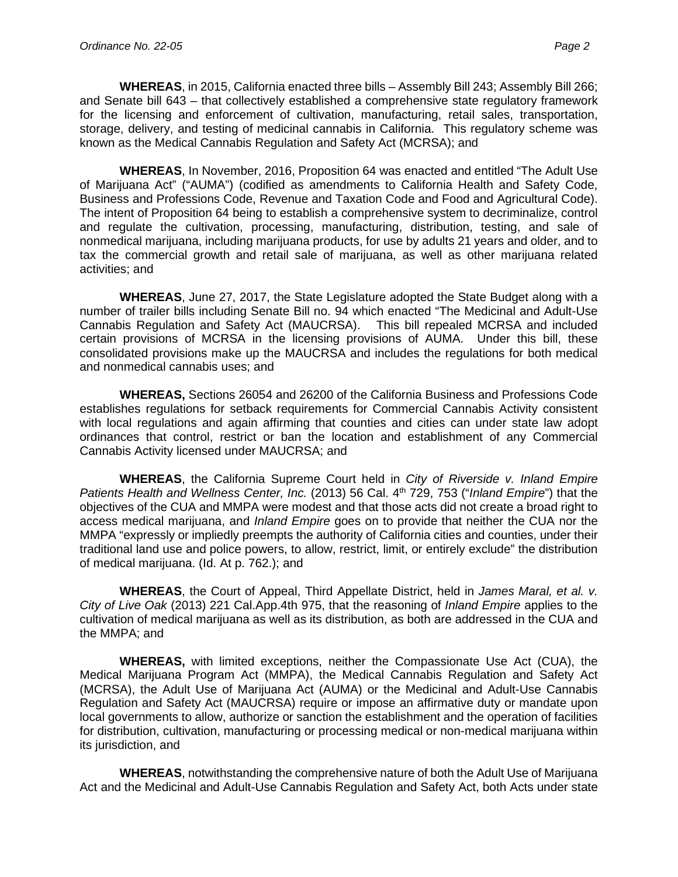**WHEREAS**, in 2015, California enacted three bills – Assembly Bill 243; Assembly Bill 266; and Senate bill 643 – that collectively established a comprehensive state regulatory framework for the licensing and enforcement of cultivation, manufacturing, retail sales, transportation, storage, delivery, and testing of medicinal cannabis in California. This regulatory scheme was known as the Medical Cannabis Regulation and Safety Act (MCRSA); and

**WHEREAS**, In November, 2016, Proposition 64 was enacted and entitled "The Adult Use of Marijuana Act" ("AUMA") (codified as amendments to California Health and Safety Code, Business and Professions Code, Revenue and Taxation Code and Food and Agricultural Code). The intent of Proposition 64 being to establish a comprehensive system to decriminalize, control and regulate the cultivation, processing, manufacturing, distribution, testing, and sale of nonmedical marijuana, including marijuana products, for use by adults 21 years and older, and to tax the commercial growth and retail sale of marijuana, as well as other marijuana related activities; and

**WHEREAS**, June 27, 2017, the State Legislature adopted the State Budget along with a number of trailer bills including Senate Bill no. 94 which enacted "The Medicinal and Adult-Use Cannabis Regulation and Safety Act (MAUCRSA). This bill repealed MCRSA and included certain provisions of MCRSA in the licensing provisions of AUMA. Under this bill, these consolidated provisions make up the MAUCRSA and includes the regulations for both medical and nonmedical cannabis uses; and

**WHEREAS,** Sections 26054 and 26200 of the California Business and Professions Code establishes regulations for setback requirements for Commercial Cannabis Activity consistent with local regulations and again affirming that counties and cities can under state law adopt ordinances that control, restrict or ban the location and establishment of any Commercial Cannabis Activity licensed under MAUCRSA; and

**WHEREAS**, the California Supreme Court held in *City of Riverside v. Inland Empire Patients Health and Wellness Center, Inc.* (2013) 56 Cal. 4th 729, 753 ("*Inland Empire*") that the objectives of the CUA and MMPA were modest and that those acts did not create a broad right to access medical marijuana, and *Inland Empire* goes on to provide that neither the CUA nor the MMPA "expressly or impliedly preempts the authority of California cities and counties, under their traditional land use and police powers, to allow, restrict, limit, or entirely exclude" the distribution of medical marijuana. (Id. At p. 762.); and

**WHEREAS**, the Court of Appeal, Third Appellate District, held in *James Maral, et al. v. City of Live Oak* (2013) 221 Cal.App.4th 975, that the reasoning of *Inland Empire* applies to the cultivation of medical marijuana as well as its distribution, as both are addressed in the CUA and the MMPA; and

**WHEREAS,** with limited exceptions, neither the Compassionate Use Act (CUA), the Medical Marijuana Program Act (MMPA), the Medical Cannabis Regulation and Safety Act (MCRSA), the Adult Use of Marijuana Act (AUMA) or the Medicinal and Adult-Use Cannabis Regulation and Safety Act (MAUCRSA) require or impose an affirmative duty or mandate upon local governments to allow, authorize or sanction the establishment and the operation of facilities for distribution, cultivation, manufacturing or processing medical or non-medical marijuana within its jurisdiction, and

**WHEREAS**, notwithstanding the comprehensive nature of both the Adult Use of Marijuana Act and the Medicinal and Adult-Use Cannabis Regulation and Safety Act, both Acts under state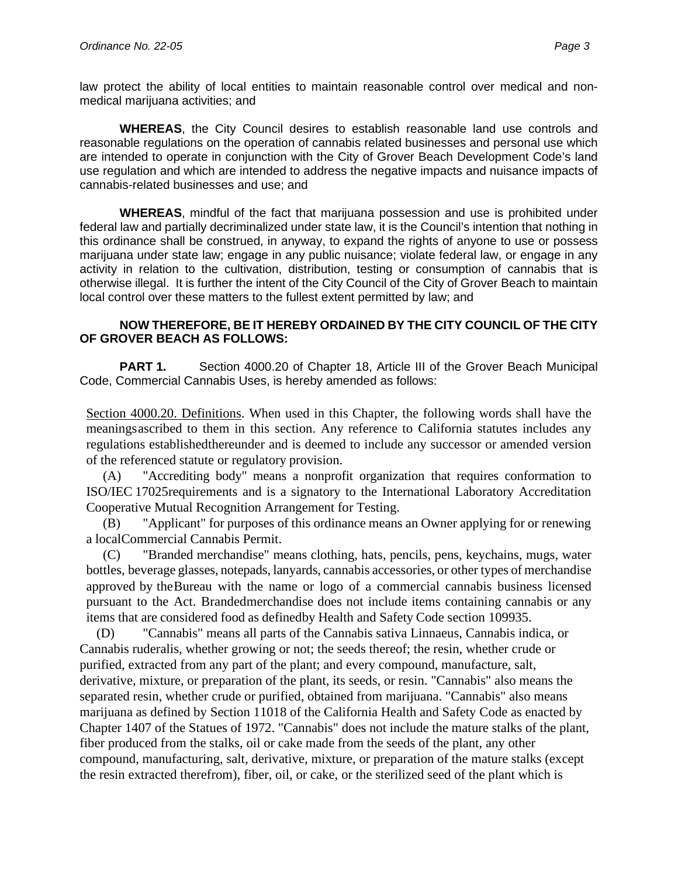law protect the ability of local entities to maintain reasonable control over medical and nonmedical marijuana activities; and

**WHEREAS**, the City Council desires to establish reasonable land use controls and reasonable regulations on the operation of cannabis related businesses and personal use which are intended to operate in conjunction with the City of Grover Beach Development Code's land use regulation and which are intended to address the negative impacts and nuisance impacts of cannabis-related businesses and use; and

**WHEREAS**, mindful of the fact that marijuana possession and use is prohibited under federal law and partially decriminalized under state law, it is the Council's intention that nothing in this ordinance shall be construed, in anyway, to expand the rights of anyone to use or possess marijuana under state law; engage in any public nuisance; violate federal law, or engage in any activity in relation to the cultivation, distribution, testing or consumption of cannabis that is otherwise illegal. It is further the intent of the City Council of the City of Grover Beach to maintain local control over these matters to the fullest extent permitted by law; and

#### **NOW THEREFORE, BE IT HEREBY ORDAINED BY THE CITY COUNCIL OF THE CITY OF GROVER BEACH AS FOLLOWS:**

**PART 1.** Section 4000.20 of Chapter 18, Article III of the Grover Beach Municipal Code, Commercial Cannabis Uses, is hereby amended as follows:

Section 4000.20. Definitions. When used in this Chapter, the following words shall have the meaningsascribed to them in this section. Any reference to California statutes includes any regulations establishedthereunder and is deemed to include any successor or amended version of the referenced statute or regulatory provision.

(A) "Accrediting body" means a nonprofit organization that requires conformation to ISO/IEC 17025requirements and is a signatory to the International Laboratory Accreditation Cooperative Mutual Recognition Arrangement for Testing.

(B) "Applicant" for purposes of this ordinance means an Owner applying for or renewing a localCommercial Cannabis Permit.

(C) "Branded merchandise" means clothing, hats, pencils, pens, keychains, mugs, water bottles, beverage glasses, notepads, lanyards, cannabis accessories, or other types of merchandise approved by theBureau with the name or logo of a commercial cannabis business licensed pursuant to the Act. Brandedmerchandise does not include items containing cannabis or any items that are considered food as definedby Health and Safety Code section 109935.

(D) "Cannabis" means all parts of the Cannabis sativa Linnaeus, Cannabis indica, or Cannabis ruderalis, whether growing or not; the seeds thereof; the resin, whether crude or purified, extracted from any part of the plant; and every compound, manufacture, salt, derivative, mixture, or preparation of the plant, its seeds, or resin. "Cannabis" also means the separated resin, whether crude or purified, obtained from marijuana. "Cannabis" also means marijuana as defined by Section 11018 of the California Health and Safety Code as enacted by Chapter 1407 of the Statues of 1972. "Cannabis" does not include the mature stalks of the plant, fiber produced from the stalks, oil or cake made from the seeds of the plant, any other compound, manufacturing, salt, derivative, mixture, or preparation of the mature stalks (except the resin extracted therefrom), fiber, oil, or cake, or the sterilized seed of the plant which is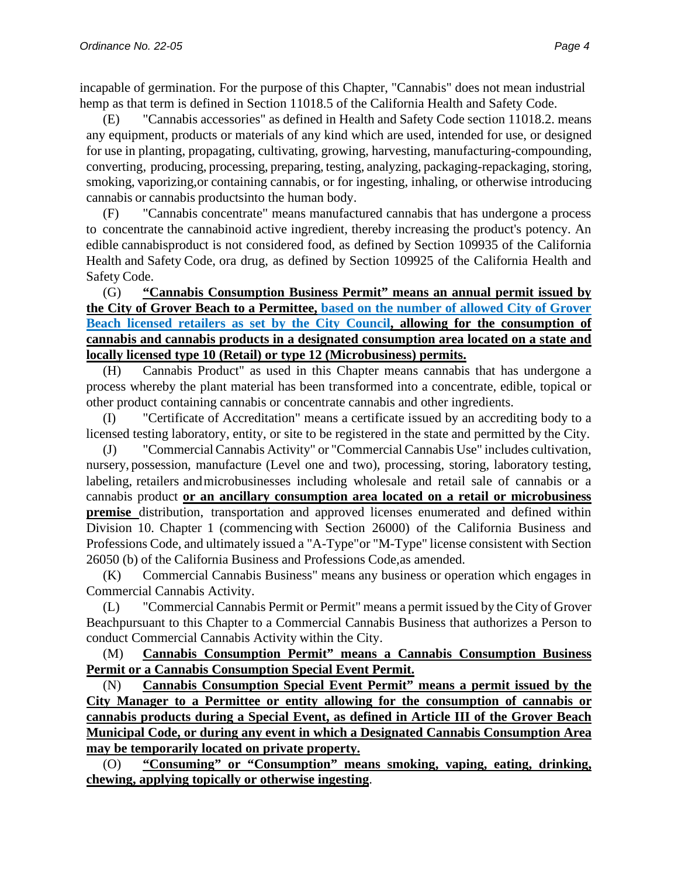incapable of germination. For the purpose of this Chapter, "Cannabis" does not mean industrial hemp as that term is defined in Section 11018.5 of the California Health and Safety Code.

(E) "Cannabis accessories" as defined in Health and Safety Code section 11018.2. means any equipment, products or materials of any kind which are used, intended for use, or designed for use in planting, propagating, cultivating, growing, harvesting, manufacturing-compounding, converting, producing, processing, preparing, testing, analyzing, packaging-repackaging, storing, smoking, vaporizing, or containing cannabis, or for ingesting, inhaling, or otherwise introducing cannabis or cannabis products into the human body.

(F) "Cannabis concentrate" means manufactured cannabis that has undergone a process to concentrate the cannabinoid active ingredient, thereby increasing the product's potency. An edible cannabis product is not considered food, as defined by Section 109935 of the California Health and Safety Code, ora drug, as defined by Section 109925 of the California Health and Safety Code.

(G) **"Cannabis Consumption Business Permit" means an annual permit issued by the City of Grover Beach to a Permittee, based on the number of allowed City of Grover Beach licensed retailers as set by the City Council, allowing for the consumption of cannabis and cannabis products in a designated consumption area located on a state and locally licensed type 10 (Retail) or type 12 (Microbusiness) permits.**

(H) Cannabis Product" as used in this Chapter means cannabis that has undergone a process whereby the plant material has been transformed into a concentrate, edible, topical or other product containing cannabis or concentrate cannabis and other ingredients.

(I) "Certificate of Accreditation" means a certificate issued by an accrediting body to a licensed testing laboratory, entity, or site to be registered in the state and permitted by the City.

(J) "CommercialCannabis Activity" or "Commercial Cannabis Use" includes cultivation, nursery, possession, manufacture (Level one and two), processing, storing, laboratory testing, labeling, retailers andmicrobusinesses including wholesale and retail sale of cannabis or a cannabis product **or an ancillary consumption area located on a retail or microbusiness premise** distribution, transportation and approved licenses enumerated and defined within Division 10. Chapter 1 (commencing with Section 26000) of the California Business and Professions Code, and ultimately issued a "A-Type" or "M-Type" license consistent with Section 26050 (b) of the California Business and Professions Code, as amended.

(K) Commercial Cannabis Business" means any business or operation which engages in Commercial Cannabis Activity.

(L) "Commercial Cannabis Permit or Permit" means a permit issued by the City of Grover Beachpursuant to this Chapter to a Commercial Cannabis Business that authorizes a Person to conduct Commercial Cannabis Activity within the City.

(M) **Cannabis Consumption Permit" means a Cannabis Consumption Business Permit or a Cannabis Consumption Special Event Permit.**

(N) **Cannabis Consumption Special Event Permit" means a permit issued by the City Manager to a Permittee or entity allowing for the consumption of cannabis or cannabis products during a Special Event, as defined in Article III of the Grover Beach Municipal Code, or during any event in which a Designated Cannabis Consumption Area may be temporarily located on private property.** 

(O) **"Consuming" or "Consumption" means smoking, vaping, eating, drinking, chewing, applying topically or otherwise ingesting**.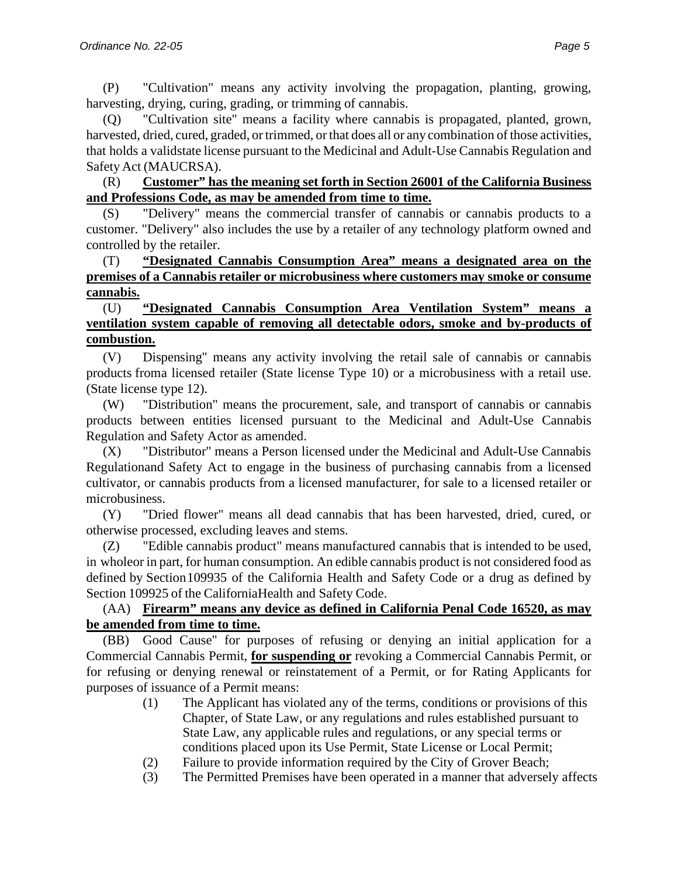(P) "Cultivation" means any activity involving the propagation, planting, growing, harvesting, drying, curing, grading, or trimming of cannabis.

(Q) "Cultivation site" means a facility where cannabis is propagated, planted, grown, harvested, dried, cured, graded, or trimmed, or that does all or any combination of those activities, that holds a validstate license pursuant to the Medicinal and Adult-Use Cannabis Regulation and Safety Act (MAUCRSA).

### (R) **Customer" has the meaning set forth in Section 26001 of the California Business and Professions Code, as may be amended from time to time.**

(S) "Delivery" means the commercial transfer of cannabis or cannabis products to a customer. "Delivery" also includes the use by a retailer of any technology platform owned and controlled by the retailer.

### (T) **"Designated Cannabis Consumption Area" means a designated area on the premises of a Cannabis retailer or microbusiness where customers may smoke or consume cannabis.**

### (U) **"Designated Cannabis Consumption Area Ventilation System" means a ventilation system capable of removing all detectable odors, smoke and by-products of combustion.**

(V) Dispensing" means any activity involving the retail sale of cannabis or cannabis products froma licensed retailer (State license Type 10) or a microbusiness with a retail use. (State license type 12).

(W) "Distribution" means the procurement, sale, and transport of cannabis or cannabis products between entities licensed pursuant to the Medicinal and Adult-Use Cannabis Regulation and Safety Actor as amended.

(X) "Distributor" means a Person licensed under the Medicinal and Adult-Use Cannabis Regulationand Safety Act to engage in the business of purchasing cannabis from a licensed cultivator, or cannabis products from a licensed manufacturer, for sale to a licensed retailer or microbusiness.

(Y) "Dried flower" means all dead cannabis that has been harvested, dried, cured, or otherwise processed, excluding leaves and stems.

(Z) "Edible cannabis product" means manufactured cannabis that is intended to be used, in wholeor in part, for human consumption. An edible cannabis product is not considered food as defined by Section 109935 of the California Health and Safety Code or a drug as defined by Section 109925 of the CaliforniaHealth and Safety Code.

# (AA) **Firearm" means any device as defined in California Penal Code 16520, as may be amended from time to time.**

(BB) Good Cause" for purposes of refusing or denying an initial application for a Commercial Cannabis Permit, **for suspending or** revoking a Commercial Cannabis Permit, or for refusing or denying renewal or reinstatement of a Permit, or for Rating Applicants for purposes of issuance of a Permit means:

- (1) The Applicant has violated any of the terms, conditions or provisions of this Chapter, of State Law, or any regulations and rules established pursuant to State Law, any applicable rules and regulations, or any special terms or conditions placed upon its Use Permit, State License or Local Permit;
- (2) Failure to provide information required by the City of Grover Beach;
- (3) The Permitted Premises have been operated in a manner that adversely affects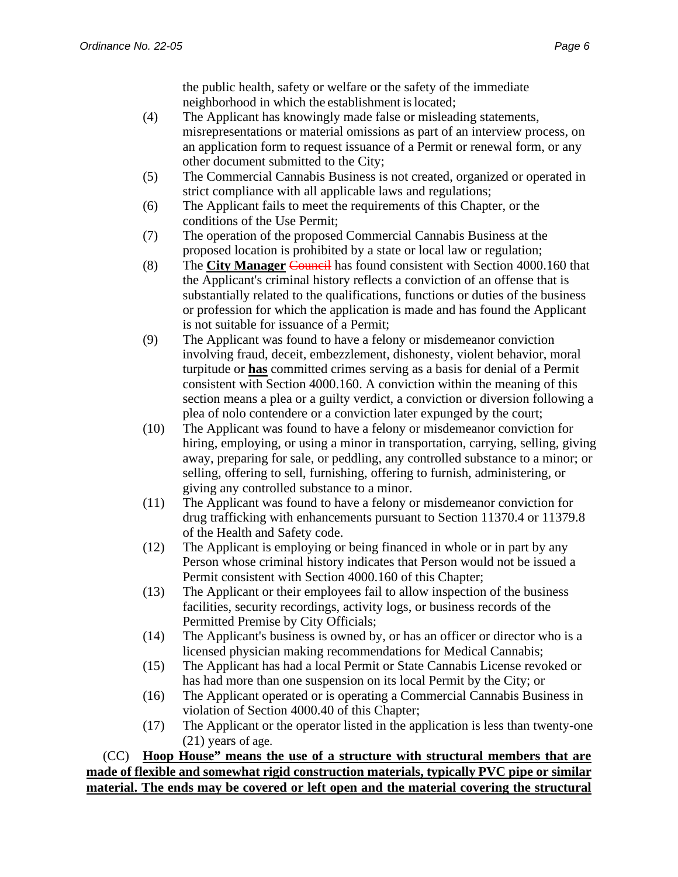the public health, safety or welfare or the safety of the immediate neighborhood in which the establishment is located;

- (4) The Applicant has knowingly made false or misleading statements, misrepresentations or material omissions as part of an interview process, on an application form to request issuance of a Permit or renewal form, or any other document submitted to the City;
- (5) The Commercial Cannabis Business is not created, organized or operated in strict compliance with all applicable laws and regulations;
- (6) The Applicant fails to meet the requirements of this Chapter, or the conditions of the Use Permit;
- (7) The operation of the proposed Commercial Cannabis Business at the proposed location is prohibited by a state or local law or regulation;
- (8) The **City Manager** Council has found consistent with Section 4000.160 that the Applicant's criminal history reflects a conviction of an offense that is substantially related to the qualifications, functions or duties of the business or profession for which the application is made and has found the Applicant is not suitable for issuance of a Permit;
- (9) The Applicant was found to have a felony or misdemeanor conviction involving fraud, deceit, embezzlement, dishonesty, violent behavior, moral turpitude or **has** committed crimes serving as a basis for denial of a Permit consistent with Section 4000.160. A conviction within the meaning of this section means a plea or a guilty verdict, a conviction or diversion following a plea of nolo contendere or a conviction later expunged by the court;
- (10) The Applicant was found to have a felony or misdemeanor conviction for hiring, employing, or using a minor in transportation, carrying, selling, giving away, preparing for sale, or peddling, any controlled substance to a minor; or selling, offering to sell, furnishing, offering to furnish, administering, or giving any controlled substance to a minor.
- (11) The Applicant was found to have a felony or misdemeanor conviction for drug trafficking with enhancements pursuant to Section 11370.4 or 11379.8 of the Health and Safety code.
- (12) The Applicant is employing or being financed in whole or in part by any Person whose criminal history indicates that Person would not be issued a Permit consistent with Section 4000.160 of this Chapter;
- (13) The Applicant or their employees fail to allow inspection of the business facilities, security recordings, activity logs, or business records of the Permitted Premise by City Officials;
- (14) The Applicant's business is owned by, or has an officer or director who is a licensed physician making recommendations for Medical Cannabis;
- (15) The Applicant has had a local Permit or State Cannabis License revoked or has had more than one suspension on its local Permit by the City; or
- (16) The Applicant operated or is operating a Commercial Cannabis Business in violation of Section 4000.40 of this Chapter;
- (17) The Applicant or the operator listed in the application is less than twenty-one (21) years of age.

(CC) **Hoop House" means the use of a structure with structural members that are made of flexible and somewhat rigid construction materials, typically PVC pipe or similar material. The ends may be covered or left open and the material covering the structural**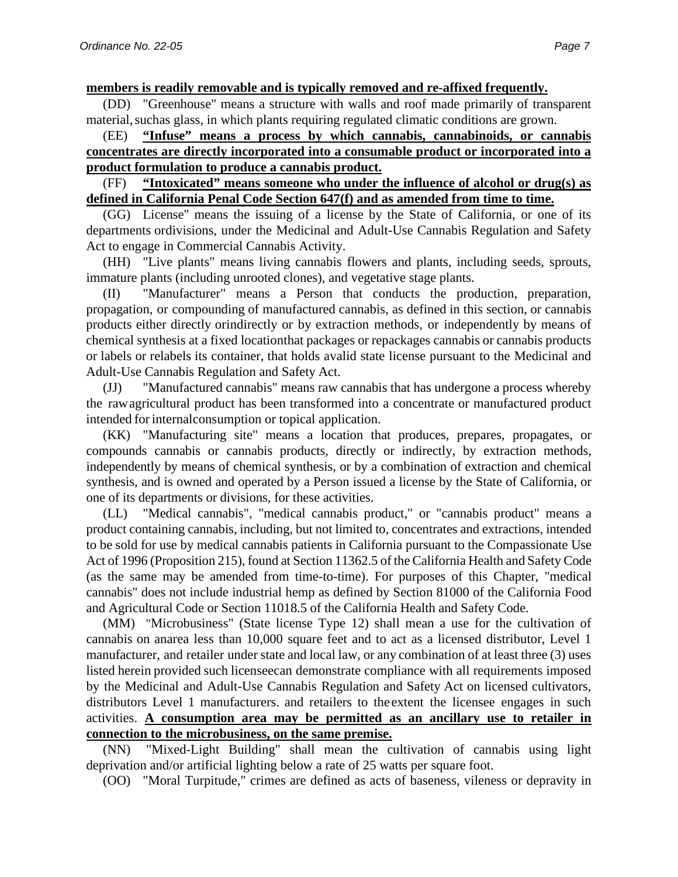**members is readily removable and is typically removed and re-affixed frequently.**

(DD) "Greenhouse" means a structure with walls and roof made primarily of transparent material, suchas glass, in which plants requiring regulated climatic conditions are grown.

### (EE) **"Infuse" means a process by which cannabis, cannabinoids, or cannabis concentrates are directly incorporated into a consumable product or incorporated into a product formulation to produce a cannabis product.**

### (FF) **"Intoxicated" means someone who under the influence of alcohol or drug(s) as defined in California Penal Code Section 647(f) and as amended from time to time.**

(GG) License" means the issuing of a license by the State of California, or one of its departments ordivisions, under the Medicinal and Adult-Use Cannabis Regulation and Safety Act to engage in Commercial Cannabis Activity.

(HH) "Live plants" means living cannabis flowers and plants, including seeds, sprouts, immature plants (including unrooted clones), and vegetative stage plants.

(II) "Manufacturer" means a Person that conducts the production, preparation, propagation, or compounding of manufactured cannabis, as defined in this section, or cannabis products either directly orindirectly or by extraction methods, or independently by means of chemical synthesis at a fixed locationthat packages or repackages cannabis or cannabis products or labels or relabels its container, that holds avalid state license pursuant to the Medicinal and Adult-Use Cannabis Regulation and Safety Act.

(JJ) "Manufactured cannabis" means raw cannabis that has undergone a process whereby the rawagricultural product has been transformed into a concentrate or manufactured product intended for internalconsumption or topical application.

(KK) "Manufacturing site" means a location that produces, prepares, propagates, or compounds cannabis or cannabis products, directly or indirectly, by extraction methods, independently by means of chemical synthesis, or by a combination of extraction and chemical synthesis, and is owned and operated by a Person issued a license by the State of California, or one of its departments or divisions, for these activities.

(LL) "Medical cannabis", "medical cannabis product," or "cannabis product" means a product containing cannabis, including, but not limited to, concentrates and extractions, intended to be sold for use by medical cannabis patients in California pursuant to the Compassionate Use Act of 1996 (Proposition 215), found at Section 11362.5 of the California Health and Safety Code (as the same may be amended from time-to-time). For purposes of this Chapter, "medical cannabis" does not include industrial hemp as defined by Section 81000 of the California Food and Agricultural Code or Section 11018.5 of the California Health and Safety Code.

(MM) "Microbusiness" (State license Type 12) shall mean a use for the cultivation of cannabis on anarea less than 10,000 square feet and to act as a licensed distributor, Level 1 manufacturer, and retailer under state and local law, or any combination of at least three (3) uses listed herein provided such licenseecan demonstrate compliance with all requirements imposed by the Medicinal and Adult-Use Cannabis Regulation and Safety Act on licensed cultivators, distributors Level 1 manufacturers. and retailers to theextent the licensee engages in such activities. **A consumption area may be permitted as an ancillary use to retailer in connection to the microbusiness, on the same premise.**

(NN) "Mixed-Light Building" shall mean the cultivation of cannabis using light deprivation and/or artificial lighting below a rate of 25 watts per square foot.

(OO) "Moral Turpitude," crimes are defined as acts of baseness, vileness or depravity in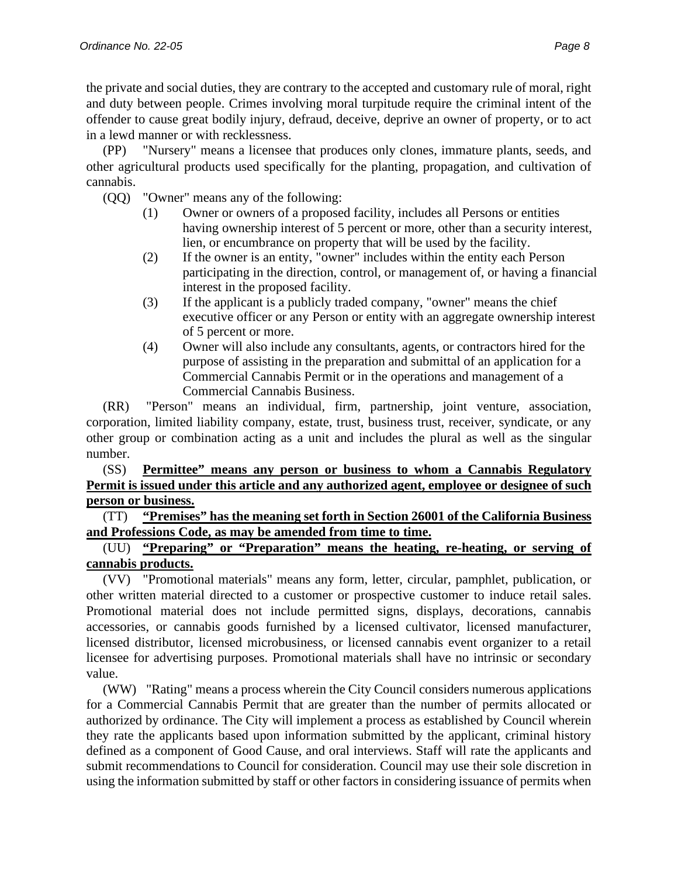the private and social duties, they are contrary to the accepted and customary rule of moral, right and duty between people. Crimes involving moral turpitude require the criminal intent of the offender to cause great bodily injury, defraud, deceive, deprive an owner of property, or to act in a lewd manner or with recklessness.

(PP) "Nursery" means a licensee that produces only clones, immature plants, seeds, and other agricultural products used specifically for the planting, propagation, and cultivation of cannabis.

(QQ) "Owner" means any of the following:

- (1) Owner or owners of a proposed facility, includes all Persons or entities having ownership interest of 5 percent or more, other than a security interest, lien, or encumbrance on property that will be used by the facility.
- (2) If the owner is an entity, "owner" includes within the entity each Person participating in the direction, control, or management of, or having a financial interest in the proposed facility.
- (3) If the applicant is a publicly traded company, "owner" means the chief executive officer or any Person or entity with an aggregate ownership interest of 5 percent or more.
- (4) Owner will also include any consultants, agents, or contractors hired for the purpose of assisting in the preparation and submittal of an application for a Commercial Cannabis Permit or in the operations and management of a Commercial Cannabis Business.

(RR) "Person" means an individual, firm, partnership, joint venture, association, corporation, limited liability company, estate, trust, business trust, receiver, syndicate, or any other group or combination acting as a unit and includes the plural as well as the singular number.

# (SS) **Permittee" means any person or business to whom a Cannabis Regulatory Permit is issued under this article and any authorized agent, employee or designee of such person or business.**

(TT) **"Premises" has the meaning set forth in Section 26001 of the California Business and Professions Code, as may be amended from time to time.** 

# (UU) **"Preparing" or "Preparation" means the heating, re-heating, or serving of cannabis products.**

(VV) "Promotional materials" means any form, letter, circular, pamphlet, publication, or other written material directed to a customer or prospective customer to induce retail sales. Promotional material does not include permitted signs, displays, decorations, cannabis accessories, or cannabis goods furnished by a licensed cultivator, licensed manufacturer, licensed distributor, licensed microbusiness, or licensed cannabis event organizer to a retail licensee for advertising purposes. Promotional materials shall have no intrinsic or secondary value.

(WW) "Rating" means a process wherein the City Council considers numerous applications for a Commercial Cannabis Permit that are greater than the number of permits allocated or authorized by ordinance. The City will implement a process as established by Council wherein they rate the applicants based upon information submitted by the applicant, criminal history defined as a component of Good Cause, and oral interviews. Staff will rate the applicants and submit recommendations to Council for consideration. Council may use their sole discretion in using the information submitted by staff or other factors in considering issuance of permits when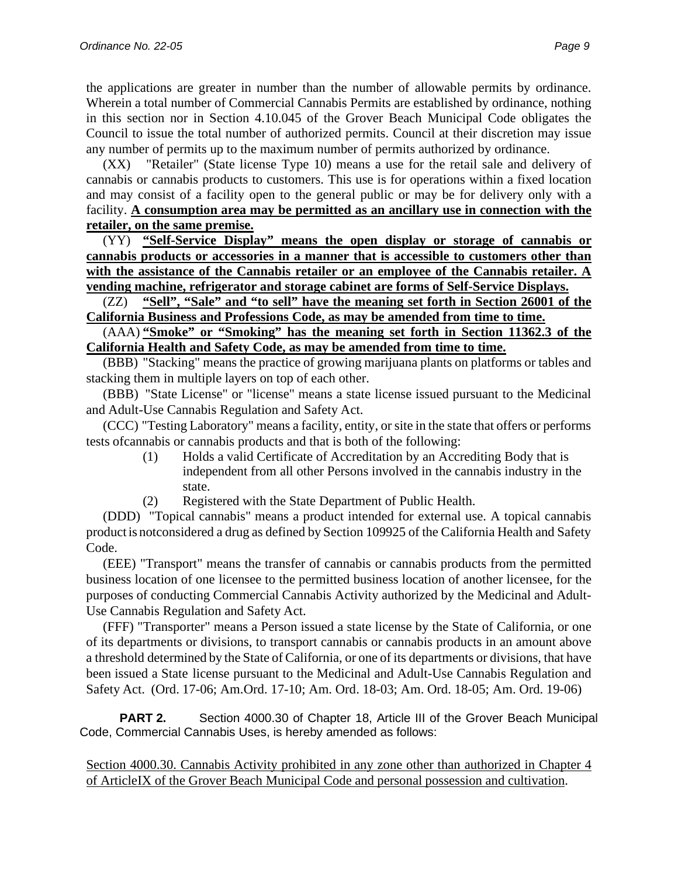the applications are greater in number than the number of allowable permits by ordinance. Wherein a total number of Commercial Cannabis Permits are established by ordinance, nothing in this section nor in Section 4.10.045 of the Grover Beach Municipal Code obligates the Council to issue the total number of authorized permits. Council at their discretion may issue any number of permits up to the maximum number of permits authorized by ordinance.

(XX) "Retailer" (State license Type 10) means a use for the retail sale and delivery of cannabis or cannabis products to customers. This use is for operations within a fixed location and may consist of a facility open to the general public or may be for delivery only with a facility. **A consumption area may be permitted as an ancillary use in connection with the retailer, on the same premise.**

(YY) **"Self-Service Display" means the open display or storage of cannabis or cannabis products or accessories in a manner that is accessible to customers other than with the assistance of the Cannabis retailer or an employee of the Cannabis retailer. A vending machine, refrigerator and storage cabinet are forms of Self-Service Displays.**

(ZZ) **"Sell", "Sale" and "to sell" have the meaning set forth in Section 26001 of the California Business and Professions Code, as may be amended from time to time.**

(AAA) **"Smoke" or "Smoking" has the meaning set forth in Section 11362.3 of the California Health and Safety Code, as may be amended from time to time.**

(BBB) "Stacking" means the practice of growing marijuana plants on platforms or tables and stacking them in multiple layers on top of each other.

(BBB) "State License" or "license" means a state license issued pursuant to the Medicinal and Adult-Use Cannabis Regulation and Safety Act.

(CCC) "Testing Laboratory" means a facility, entity, or site in the state that offers or performs tests ofcannabis or cannabis products and that is both of the following:

- (1) Holds a valid Certificate of Accreditation by an Accrediting Body that is independent from all other Persons involved in the cannabis industry in the state.
- (2) Registered with the State Department of Public Health.

(DDD) "Topical cannabis" means a product intended for external use. A topical cannabis productis notconsidered a drug as defined by Section 109925 of the California Health and Safety Code.

(EEE) "Transport" means the transfer of cannabis or cannabis products from the permitted business location of one licensee to the permitted business location of another licensee, for the purposes of conducting Commercial Cannabis Activity authorized by the Medicinal and Adult-Use Cannabis Regulation and Safety Act.

(FFF) "Transporter" means a Person issued a state license by the State of California, or one of its departments or divisions, to transport cannabis or cannabis products in an amount above a threshold determined by the State of California, or one of its departments or divisions, that have been issued a State license pursuant to the Medicinal and Adult-Use Cannabis Regulation and Safety Act. (Ord. 17-06; Am.Ord. 17-10; Am. Ord. 18-03; Am. Ord. 18-05; Am. Ord. 19-06)

**PART 2.** Section 4000.30 of Chapter 18, Article III of the Grover Beach Municipal Code, Commercial Cannabis Uses, is hereby amended as follows:

Section 4000.30. Cannabis Activity prohibited in any zone other than authorized in Chapter 4 of ArticleIX of the Grover Beach Municipal Code and personal possession and cultivation.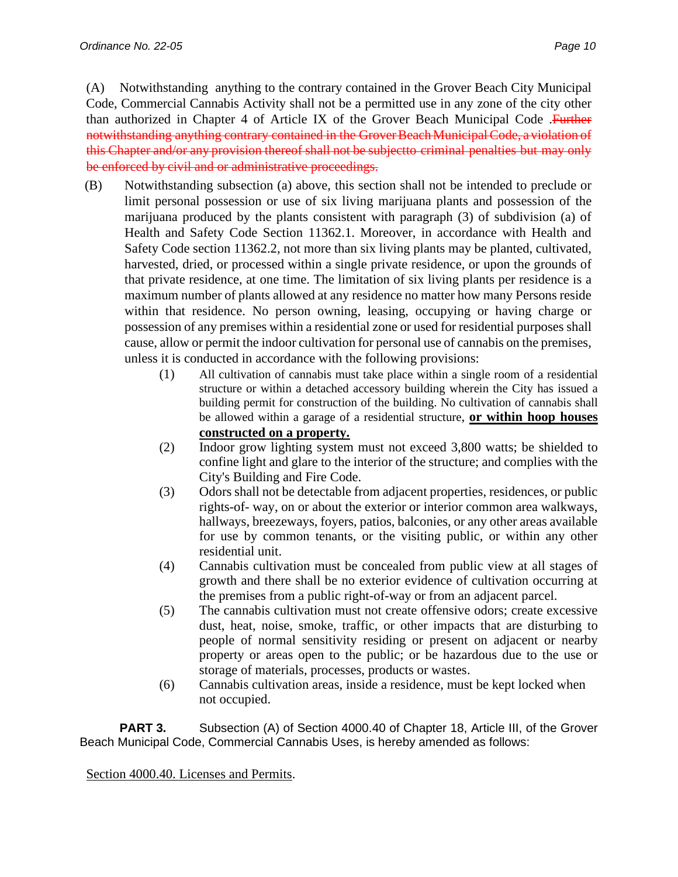(A) Notwithstanding anything to the contrary contained in the Grover Beach City Municipal Code, Commercial Cannabis Activity shall not be a permitted use in any zone of the city other than authorized in Chapter 4 of Article IX of the Grover Beach Municipal Code .Further notwithstanding anything contrary contained in the Grover Beach Municipal Code, a violation of this Chapter and/or any provision thereof shall not be subjectto criminal penalties but may only

be enforced by civil and or administrative proceedings.

- (B) Notwithstanding subsection (a) above, this section shall not be intended to preclude or limit personal possession or use of six living marijuana plants and possession of the marijuana produced by the plants consistent with paragraph (3) of subdivision (a) of Health and Safety Code Section 11362.1. Moreover, in accordance with Health and Safety Code section 11362.2, not more than six living plants may be planted, cultivated, harvested, dried, or processed within a single private residence, or upon the grounds of that private residence, at one time. The limitation of six living plants per residence is a maximum number of plants allowed at any residence no matter how many Persons reside within that residence. No person owning, leasing, occupying or having charge or possession of any premises within a residential zone or used for residential purposes shall cause, allow or permit the indoor cultivation for personal use of cannabis on the premises, unless it is conducted in accordance with the following provisions:
	- (1) All cultivation of cannabis must take place within a single room of a residential structure or within a detached accessory building wherein the City has issued a building permit for construction of the building. No cultivation of cannabis shall be allowed within a garage of a residential structure, **or within hoop houses constructed on a property.**
	- (2) Indoor grow lighting system must not exceed 3,800 watts; be shielded to confine light and glare to the interior of the structure; and complies with the City's Building and Fire Code.
	- (3) Odors shall not be detectable from adjacent properties, residences, or public rights-of- way, on or about the exterior or interior common area walkways, hallways, breezeways, foyers, patios, balconies, or any other areas available for use by common tenants, or the visiting public, or within any other residential unit.
	- (4) Cannabis cultivation must be concealed from public view at all stages of growth and there shall be no exterior evidence of cultivation occurring at the premises from a public right-of-way or from an adjacent parcel.
	- (5) The cannabis cultivation must not create offensive odors; create excessive dust, heat, noise, smoke, traffic, or other impacts that are disturbing to people of normal sensitivity residing or present on adjacent or nearby property or areas open to the public; or be hazardous due to the use or storage of materials, processes, products or wastes.
	- (6) Cannabis cultivation areas, inside a residence, must be kept locked when not occupied.

**PART 3.** Subsection (A) of Section 4000.40 of Chapter 18, Article III, of the Grover Beach Municipal Code, Commercial Cannabis Uses, is hereby amended as follows:

Section 4000.40. Licenses and Permits.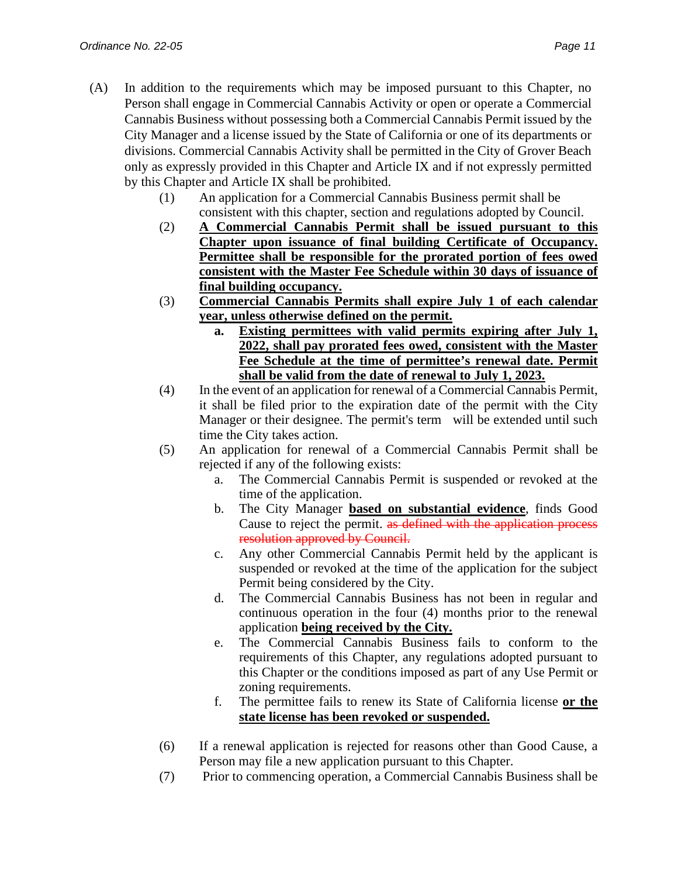- (A) In addition to the requirements which may be imposed pursuant to this Chapter, no Person shall engage in Commercial Cannabis Activity or open or operate a Commercial Cannabis Business without possessing both a Commercial Cannabis Permit issued by the City Manager and a license issued by the State of California or one of its departments or divisions. Commercial Cannabis Activity shall be permitted in the City of Grover Beach only as expressly provided in this Chapter and Article IX and if not expressly permitted by this Chapter and Article IX shall be prohibited.
	- (1) An application for a Commercial Cannabis Business permit shall be consistent with this chapter, section and regulations adopted by Council.
	- (2) **A Commercial Cannabis Permit shall be issued pursuant to this Chapter upon issuance of final building Certificate of Occupancy. Permittee shall be responsible for the prorated portion of fees owed consistent with the Master Fee Schedule within 30 days of issuance of final building occupancy.**
	- (3) **Commercial Cannabis Permits shall expire July 1 of each calendar year, unless otherwise defined on the permit.**
		- **a. Existing permittees with valid permits expiring after July 1, 2022, shall pay prorated fees owed, consistent with the Master Fee Schedule at the time of permittee's renewal date. Permit shall be valid from the date of renewal to July 1, 2023.**
	- (4) In the event of an application for renewal of a Commercial Cannabis Permit, it shall be filed prior to the expiration date of the permit with the City Manager or their designee. The permit's term will be extended until such time the City takes action.
	- (5) An application for renewal of a Commercial Cannabis Permit shall be rejected if any of the following exists:
		- a. The Commercial Cannabis Permit is suspended or revoked at the time of the application.
		- b. The City Manager **based on substantial evidence**, finds Good Cause to reject the permit. as defined with the application process resolution approved by Council.
		- c. Any other Commercial Cannabis Permit held by the applicant is suspended or revoked at the time of the application for the subject Permit being considered by the City.
		- d. The Commercial Cannabis Business has not been in regular and continuous operation in the four (4) months prior to the renewal application **being received by the City.**
		- e. The Commercial Cannabis Business fails to conform to the requirements of this Chapter, any regulations adopted pursuant to this Chapter or the conditions imposed as part of any Use Permit or zoning requirements.
		- f. The permittee fails to renew its State of California license **or the state license has been revoked or suspended.**
	- (6) If a renewal application is rejected for reasons other than Good Cause, a Person may file a new application pursuant to this Chapter.
	- (7) Prior to commencing operation, a Commercial Cannabis Business shall be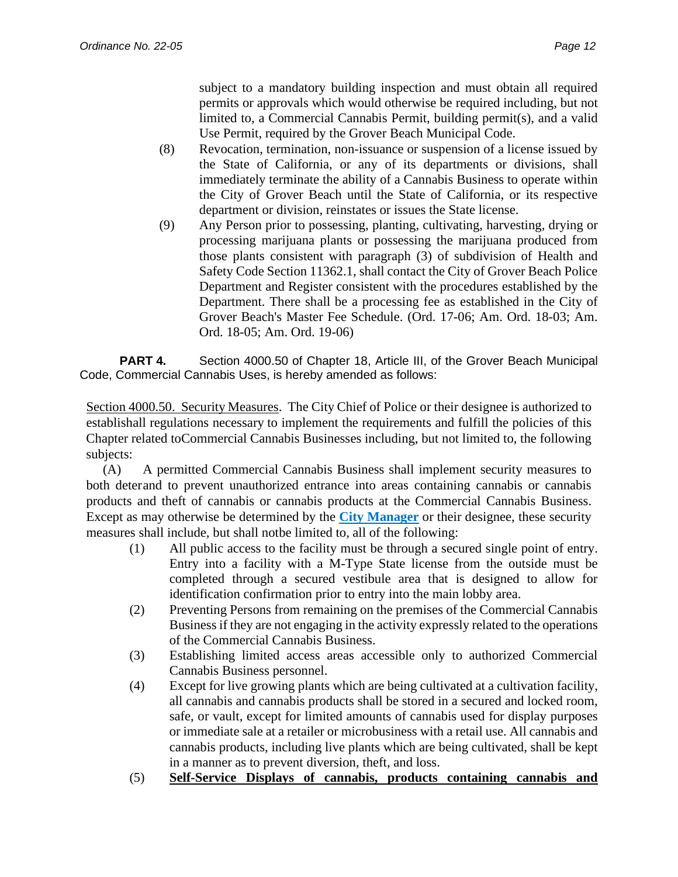subject to a mandatory building inspection and must obtain all required permits or approvals which would otherwise be required including, but not limited to, a Commercial Cannabis Permit, building permit(s), and a valid Use Permit, required by the Grover Beach Municipal Code.

- (8) Revocation, termination, non-issuance or suspension of a license issued by the State of California, or any of its departments or divisions, shall immediately terminate the ability of a Cannabis Business to operate within the City of Grover Beach until the State of California, or its respective department or division, reinstates or issues the State license.
- (9) Any Person prior to possessing, planting, cultivating, harvesting, drying or processing marijuana plants or possessing the marijuana produced from those plants consistent with paragraph (3) of subdivision of Health and Safety Code Section 11362.1, shall contact the City of Grover Beach Police Department and Register consistent with the procedures established by the Department. There shall be a processing fee as established in the City of Grover Beach's Master Fee Schedule. (Ord. 17-06; Am. Ord. 18-03; Am. Ord. 18-05; Am. Ord. 19-06)

**PART 4.** Section 4000.50 of Chapter 18, Article III, of the Grover Beach Municipal Code, Commercial Cannabis Uses, is hereby amended as follows:

Section 4000.50. Security Measures. The City Chief of Police or their designee is authorized to establishall regulations necessary to implement the requirements and fulfill the policies of this Chapter related toCommercial Cannabis Businesses including, but not limited to, the following subjects:

(A) A permitted Commercial Cannabis Business shall implement security measures to both deterand to prevent unauthorized entrance into areas containing cannabis or cannabis products and theft of cannabis or cannabis products at the Commercial Cannabis Business. Except as may otherwise be determined by the **City Manager** or their designee, these security measures shall include, but shall notbe limited to, all of the following:

- (1) All public access to the facility must be through a secured single point of entry. Entry into a facility with a M-Type State license from the outside must be completed through a secured vestibule area that is designed to allow for identification confirmation prior to entry into the main lobby area.
- (2) Preventing Persons from remaining on the premises of the Commercial Cannabis Business if they are not engaging in the activity expressly related to the operations of the Commercial Cannabis Business.
- (3) Establishing limited access areas accessible only to authorized Commercial Cannabis Business personnel.
- (4) Except for live growing plants which are being cultivated at a cultivation facility, all cannabis and cannabis products shall be stored in a secured and locked room, safe, or vault, except for limited amounts of cannabis used for display purposes or immediate sale at a retailer or microbusiness with a retail use. All cannabis and cannabis products, including live plants which are being cultivated, shall be kept in a manner as to prevent diversion, theft, and loss.
- (5) **Self-Service Displays of cannabis, products containing cannabis and**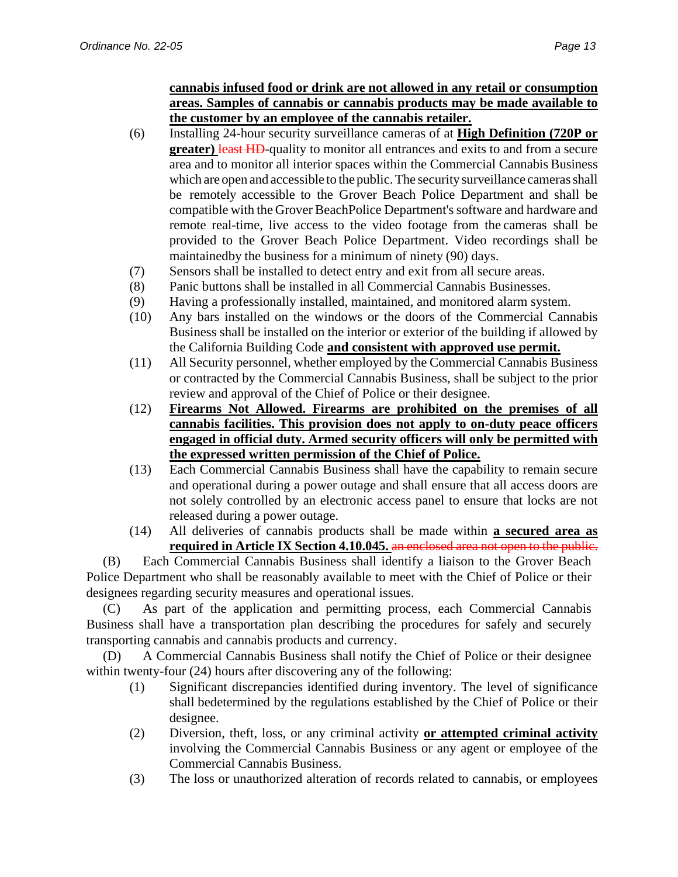### **cannabis infused food or drink are not allowed in any retail or consumption areas. Samples of cannabis or cannabis products may be made available to the customer by an employee of the cannabis retailer.**

- (6) Installing 24-hour security surveillance cameras of at **High Definition (720P or greater) least HD**-quality to monitor all entrances and exits to and from a secure area and to monitor all interior spaces within the Commercial Cannabis Business which are open and accessible to the public. The security surveillance cameras shall be remotely accessible to the Grover Beach Police Department and shall be compatible with the Grover BeachPolice Department's software and hardware and remote real-time, live access to the video footage from the cameras shall be provided to the Grover Beach Police Department. Video recordings shall be maintained by the business for a minimum of ninety (90) days.
- (7) Sensors shall be installed to detect entry and exit from all secure areas.
- (8) Panic buttons shall be installed in all Commercial Cannabis Businesses.
- (9) Having a professionally installed, maintained, and monitored alarm system.
- (10) Any bars installed on the windows or the doors of the Commercial Cannabis Business shall be installed on the interior or exterior of the building if allowed by the California Building Code **and consistent with approved use permit.**
- (11) All Security personnel, whether employed by the Commercial Cannabis Business or contracted by the Commercial Cannabis Business, shall be subject to the prior review and approval of the Chief of Police or their designee.
- (12) **Firearms Not Allowed. Firearms are prohibited on the premises of all cannabis facilities. This provision does not apply to on-duty peace officers engaged in official duty. Armed security officers will only be permitted with the expressed written permission of the Chief of Police.**
- (13) Each Commercial Cannabis Business shall have the capability to remain secure and operational during a power outage and shall ensure that all access doors are not solely controlled by an electronic access panel to ensure that locks are not released during a power outage.
- (14) All deliveries of cannabis products shall be made within **a secured area as required in Article IX Section 4.10.045.** an enclosed area not open to the public.

(B) Each Commercial Cannabis Business shall identify a liaison to the Grover Beach Police Department who shall be reasonably available to meet with the Chief of Police or their designees regarding security measures and operational issues.

(C) As part of the application and permitting process, each Commercial Cannabis Business shall have a transportation plan describing the procedures for safely and securely transporting cannabis and cannabis products and currency.

(D) A Commercial Cannabis Business shall notify the Chief of Police or their designee within twenty-four (24) hours after discovering any of the following:

- (1) Significant discrepancies identified during inventory. The level of significance shall be determined by the regulations established by the Chief of Police or their designee.
- (2) Diversion, theft, loss, or any criminal activity **or attempted criminal activity** involving the Commercial Cannabis Business or any agent or employee of the Commercial Cannabis Business.
- (3) The loss or unauthorized alteration of records related to cannabis, or employees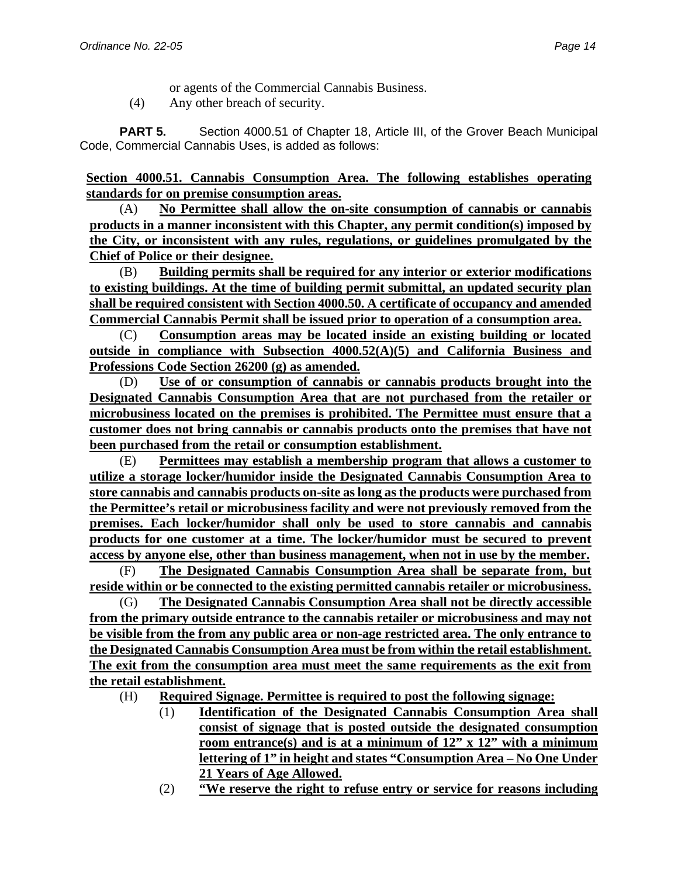or agents of the Commercial Cannabis Business.

(4) Any other breach of security.

**PART 5.** Section 4000.51 of Chapter 18, Article III, of the Grover Beach Municipal Code, Commercial Cannabis Uses, is added as follows:

**Section 4000.51. Cannabis Consumption Area. The following establishes operating standards for on premise consumption areas.**

(A) **No Permittee shall allow the on-site consumption of cannabis or cannabis products in a manner inconsistent with this Chapter, any permit condition(s) imposed by the City, or inconsistent with any rules, regulations, or guidelines promulgated by the Chief of Police or their designee.**

(B) **Building permits shall be required for any interior or exterior modifications to existing buildings. At the time of building permit submittal, an updated security plan shall be required consistent with Section 4000.50. A certificate of occupancy and amended Commercial Cannabis Permit shall be issued prior to operation of a consumption area.** 

(C) **Consumption areas may be located inside an existing building or located outside in compliance with Subsection 4000.52(A)(5) and California Business and Professions Code Section 26200 (g) as amended.** 

(D) **Use of or consumption of cannabis or cannabis products brought into the Designated Cannabis Consumption Area that are not purchased from the retailer or microbusiness located on the premises is prohibited. The Permittee must ensure that a customer does not bring cannabis or cannabis products onto the premises that have not been purchased from the retail or consumption establishment.**

(E) **Permittees may establish a membership program that allows a customer to utilize a storage locker/humidor inside the Designated Cannabis Consumption Area to store cannabis and cannabis products on-site as long as the products were purchased from the Permittee's retail or microbusiness facility and were not previously removed from the premises. Each locker/humidor shall only be used to store cannabis and cannabis products for one customer at a time. The locker/humidor must be secured to prevent access by anyone else, other than business management, when not in use by the member.**

(F) **The Designated Cannabis Consumption Area shall be separate from, but reside within or be connected to the existing permitted cannabis retailer or microbusiness.**

(G) **The Designated Cannabis Consumption Area shall not be directly accessible from the primary outside entrance to the cannabis retailer or microbusiness and may not be visible from the from any public area or non-age restricted area. The only entrance to the Designated Cannabis Consumption Area must be from within the retail establishment. The exit from the consumption area must meet the same requirements as the exit from the retail establishment.**

- (H) **Required Signage. Permittee is required to post the following signage:**
	- (1) **Identification of the Designated Cannabis Consumption Area shall consist of signage that is posted outside the designated consumption room entrance(s) and is at a minimum of 12" x 12" with a minimum lettering of 1" in height and states "Consumption Area – No One Under 21 Years of Age Allowed.**
	- (2) **"We reserve the right to refuse entry or service for reasons including**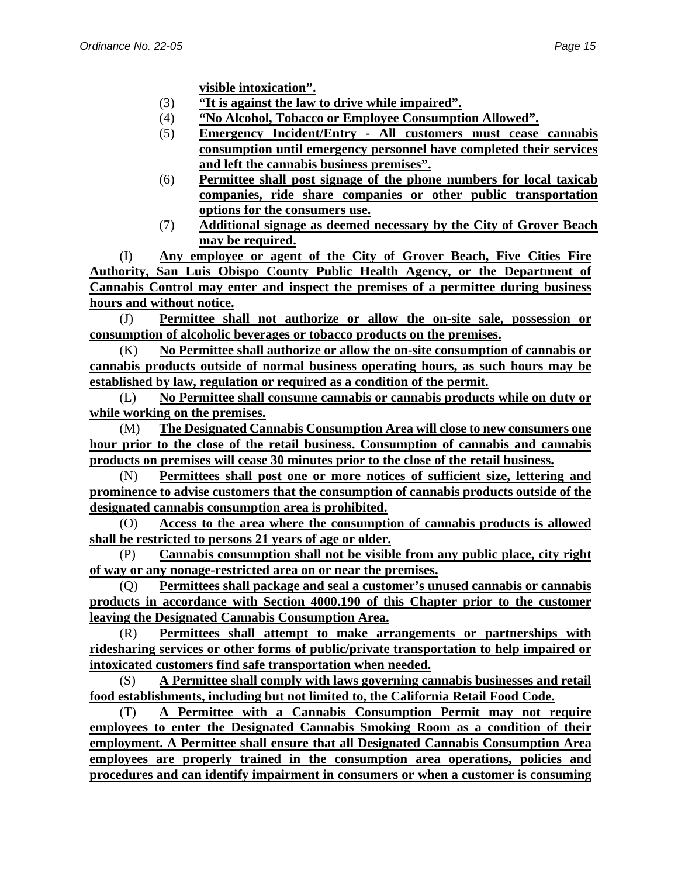- (3) **"It is against the law to drive while impaired".**
- (4) **"No Alcohol, Tobacco or Employee Consumption Allowed".**
- (5) **Emergency Incident/Entry - All customers must cease cannabis consumption until emergency personnel have completed their services and left the cannabis business premises".**
- (6) **Permittee shall post signage of the phone numbers for local taxicab companies, ride share companies or other public transportation options for the consumers use.**
- (7) **Additional signage as deemed necessary by the City of Grover Beach may be required.**

(I) **Any employee or agent of the City of Grover Beach, Five Cities Fire Authority, San Luis Obispo County Public Health Agency, or the Department of Cannabis Control may enter and inspect the premises of a permittee during business hours and without notice.**

(J) **Permittee shall not authorize or allow the on-site sale, possession or consumption of alcoholic beverages or tobacco products on the premises.**

(K) **No Permittee shall authorize or allow the on-site consumption of cannabis or cannabis products outside of normal business operating hours, as such hours may be established by law, regulation or required as a condition of the permit.**

(L) **No Permittee shall consume cannabis or cannabis products while on duty or while working on the premises.**

(M) **The Designated Cannabis Consumption Area will close to new consumers one hour prior to the close of the retail business. Consumption of cannabis and cannabis products on premises will cease 30 minutes prior to the close of the retail business.** 

(N) **Permittees shall post one or more notices of sufficient size, lettering and prominence to advise customers that the consumption of cannabis products outside of the designated cannabis consumption area is prohibited.**

(O) **Access to the area where the consumption of cannabis products is allowed shall be restricted to persons 21 years of age or older.**

(P) **Cannabis consumption shall not be visible from any public place, city right of way or any nonage-restricted area on or near the premises.**

(Q) **Permittees shall package and seal a customer's unused cannabis or cannabis products in accordance with Section 4000.190 of this Chapter prior to the customer leaving the Designated Cannabis Consumption Area.** 

(R) **Permittees shall attempt to make arrangements or partnerships with ridesharing services or other forms of public/private transportation to help impaired or intoxicated customers find safe transportation when needed.**

(S) **A Permittee shall comply with laws governing cannabis businesses and retail food establishments, including but not limited to, the California Retail Food Code.**

(T) **A Permittee with a Cannabis Consumption Permit may not require employees to enter the Designated Cannabis Smoking Room as a condition of their employment. A Permittee shall ensure that all Designated Cannabis Consumption Area employees are properly trained in the consumption area operations, policies and procedures and can identify impairment in consumers or when a customer is consuming**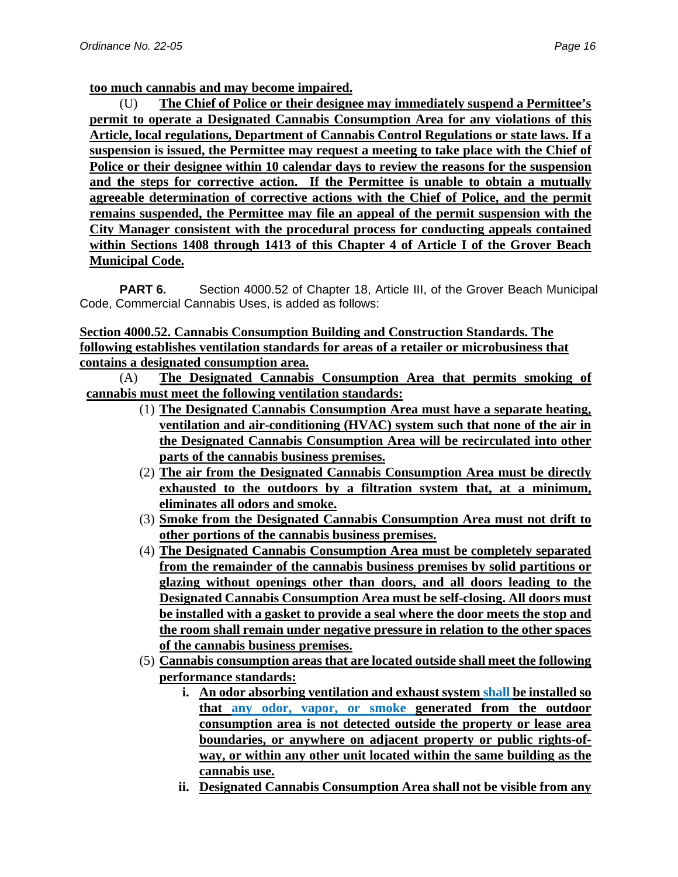**too much cannabis and may become impaired.**

(U) **The Chief of Police or their designee may immediately suspend a Permittee's permit to operate a Designated Cannabis Consumption Area for any violations of this Article, local regulations, Department of Cannabis Control Regulations or state laws. If a suspension is issued, the Permittee may request a meeting to take place with the Chief of Police or their designee within 10 calendar days to review the reasons for the suspension and the steps for corrective action. If the Permittee is unable to obtain a mutually agreeable determination of corrective actions with the Chief of Police, and the permit remains suspended, the Permittee may file an appeal of the permit suspension with the City Manager consistent with the procedural process for conducting appeals contained within Sections 1408 through 1413 of this Chapter 4 of Article I of the Grover Beach Municipal Code.**

**PART 6.** Section 4000.52 of Chapter 18, Article III, of the Grover Beach Municipal Code, Commercial Cannabis Uses, is added as follows:

### **Section 4000.52. Cannabis Consumption Building and Construction Standards. The following establishes ventilation standards for areas of a retailer or microbusiness that contains a designated consumption area.**

(A) **The Designated Cannabis Consumption Area that permits smoking of cannabis must meet the following ventilation standards:**

- (1) **The Designated Cannabis Consumption Area must have a separate heating, ventilation and air-conditioning (HVAC) system such that none of the air in the Designated Cannabis Consumption Area will be recirculated into other parts of the cannabis business premises.**
- (2) **The air from the Designated Cannabis Consumption Area must be directly exhausted to the outdoors by a filtration system that, at a minimum, eliminates all odors and smoke.**
- (3) **Smoke from the Designated Cannabis Consumption Area must not drift to other portions of the cannabis business premises.**
- (4) **The Designated Cannabis Consumption Area must be completely separated from the remainder of the cannabis business premises by solid partitions or glazing without openings other than doors, and all doors leading to the Designated Cannabis Consumption Area must be self-closing. All doors must be installed with a gasket to provide a seal where the door meets the stop and the room shall remain under negative pressure in relation to the other spaces of the cannabis business premises.**
- (5) **Cannabis consumption areas that are located outside shall meet the following performance standards:**
	- **i. An odor absorbing ventilation and exhaust system shall be installed so that any odor, vapor, or smoke generated from the outdoor consumption area is not detected outside the property or lease area boundaries, or anywhere on adjacent property or public rights-ofway, or within any other unit located within the same building as the cannabis use.**
	- **ii. Designated Cannabis Consumption Area shall not be visible from any**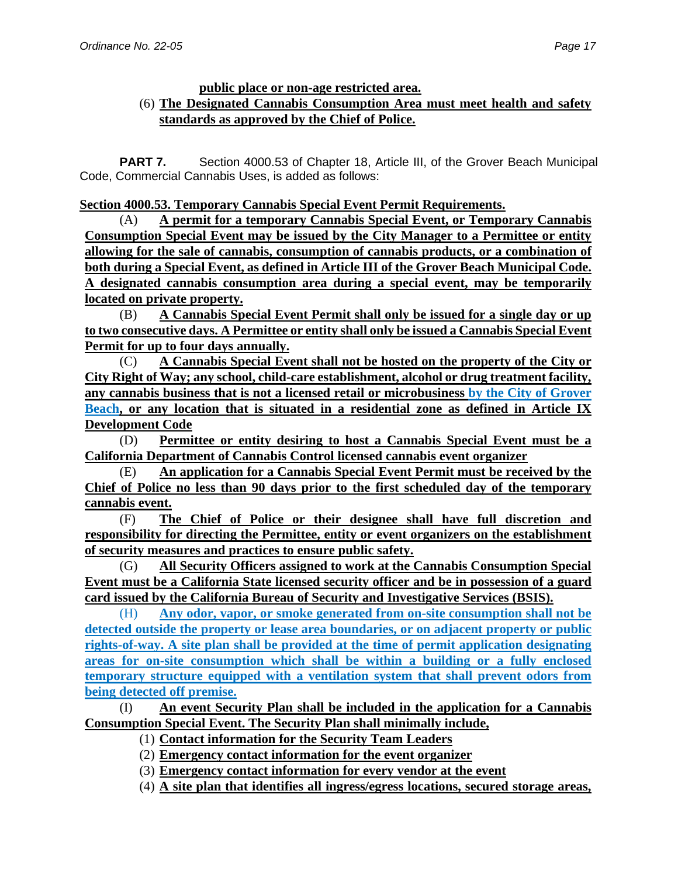#### **public place or non-age restricted area.**

### (6) **The Designated Cannabis Consumption Area must meet health and safety standards as approved by the Chief of Police.**

**PART 7.** Section 4000.53 of Chapter 18, Article III, of the Grover Beach Municipal Code, Commercial Cannabis Uses, is added as follows:

### **Section 4000.53. Temporary Cannabis Special Event Permit Requirements.**

(A) **A permit for a temporary Cannabis Special Event, or Temporary Cannabis Consumption Special Event may be issued by the City Manager to a Permittee or entity allowing for the sale of cannabis, consumption of cannabis products, or a combination of both during a Special Event, as defined in Article III of the Grover Beach Municipal Code. A designated cannabis consumption area during a special event, may be temporarily located on private property.**

(B) **A Cannabis Special Event Permit shall only be issued for a single day or up to two consecutive days. A Permittee or entity shall only be issued a Cannabis Special Event Permit for up to four days annually.**

(C) **A Cannabis Special Event shall not be hosted on the property of the City or City Right of Way; any school, child-care establishment, alcohol or drug treatment facility, any cannabis business that is not a licensed retail or microbusiness by the City of Grover Beach, or any location that is situated in a residential zone as defined in Article IX Development Code**

(D) **Permittee or entity desiring to host a Cannabis Special Event must be a California Department of Cannabis Control licensed cannabis event organizer**

(E) **An application for a Cannabis Special Event Permit must be received by the Chief of Police no less than 90 days prior to the first scheduled day of the temporary cannabis event.**

(F) **The Chief of Police or their designee shall have full discretion and responsibility for directing the Permittee, entity or event organizers on the establishment of security measures and practices to ensure public safety.**

(G) **All Security Officers assigned to work at the Cannabis Consumption Special Event must be a California State licensed security officer and be in possession of a guard card issued by the California Bureau of Security and Investigative Services (BSIS).**

(H) **Any odor, vapor, or smoke generated from on-site consumption shall not be detected outside the property or lease area boundaries, or on adjacent property or public rights-of-way. A site plan shall be provided at the time of permit application designating areas for on-site consumption which shall be within a building or a fully enclosed temporary structure equipped with a ventilation system that shall prevent odors from being detected off premise.**

(I) **An event Security Plan shall be included in the application for a Cannabis Consumption Special Event. The Security Plan shall minimally include,** 

- (1) **Contact information for the Security Team Leaders**
- (2) **Emergency contact information for the event organizer**
- (3) **Emergency contact information for every vendor at the event**

(4) **A site plan that identifies all ingress/egress locations, secured storage areas,**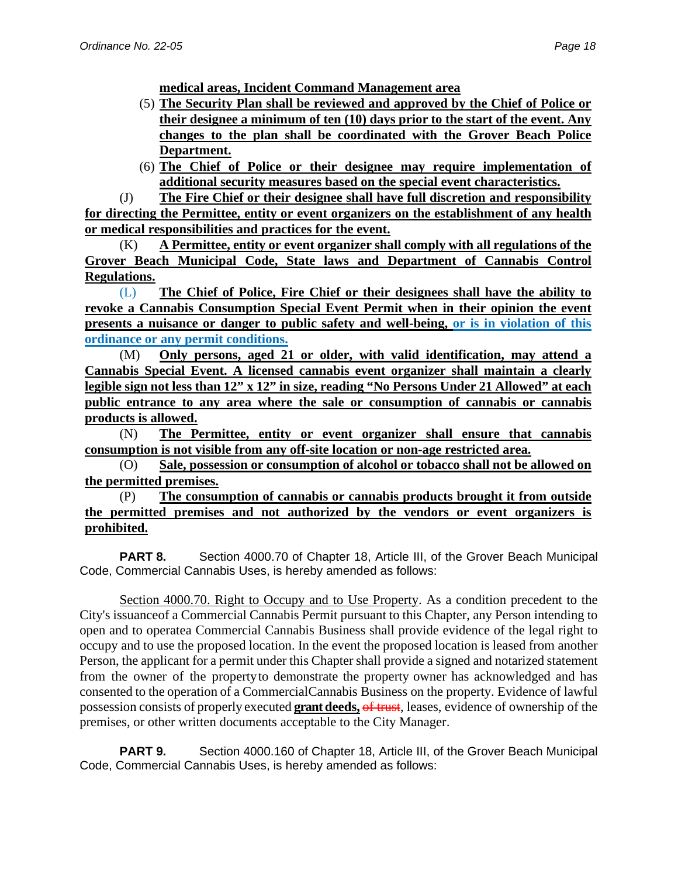**medical areas, Incident Command Management area**

- (5) **The Security Plan shall be reviewed and approved by the Chief of Police or their designee a minimum of ten (10) days prior to the start of the event. Any changes to the plan shall be coordinated with the Grover Beach Police Department.**
- (6) **The Chief of Police or their designee may require implementation of additional security measures based on the special event characteristics.**

(J) **The Fire Chief or their designee shall have full discretion and responsibility for directing the Permittee, entity or event organizers on the establishment of any health or medical responsibilities and practices for the event.**

(K) **A Permittee, entity or event organizer shall comply with all regulations of the Grover Beach Municipal Code, State laws and Department of Cannabis Control Regulations.**

(L) **The Chief of Police, Fire Chief or their designees shall have the ability to revoke a Cannabis Consumption Special Event Permit when in their opinion the event presents a nuisance or danger to public safety and well-being, or is in violation of this ordinance or any permit conditions.**

(M) **Only persons, aged 21 or older, with valid identification, may attend a Cannabis Special Event. A licensed cannabis event organizer shall maintain a clearly legible sign not less than 12" x 12" in size, reading "No Persons Under 21 Allowed" at each public entrance to any area where the sale or consumption of cannabis or cannabis products is allowed.**

(N) **The Permittee, entity or event organizer shall ensure that cannabis consumption is not visible from any off-site location or non-age restricted area.**

(O) **Sale, possession or consumption of alcohol or tobacco shall not be allowed on the permitted premises.**

(P) **The consumption of cannabis or cannabis products brought it from outside the permitted premises and not authorized by the vendors or event organizers is prohibited.**

**PART 8.** Section 4000.70 of Chapter 18, Article III, of the Grover Beach Municipal Code, Commercial Cannabis Uses, is hereby amended as follows:

Section 4000.70. Right to Occupy and to Use Property. As a condition precedent to the City's issuanceof a Commercial Cannabis Permit pursuant to this Chapter, any Person intending to open and to operatea Commercial Cannabis Business shall provide evidence of the legal right to occupy and to use the proposed location. In the event the proposed location is leased from another Person, the applicant for a permit under this Chapter shall provide a signed and notarized statement from the owner of the propertyto demonstrate the property owner has acknowledged and has consented to the operation of a CommercialCannabis Business on the property. Evidence of lawful possession consists of properly executed **grant deeds,** of trust, leases, evidence of ownership of the premises, or other written documents acceptable to the City Manager.

**PART 9.** Section 4000.160 of Chapter 18, Article III, of the Grover Beach Municipal Code, Commercial Cannabis Uses, is hereby amended as follows: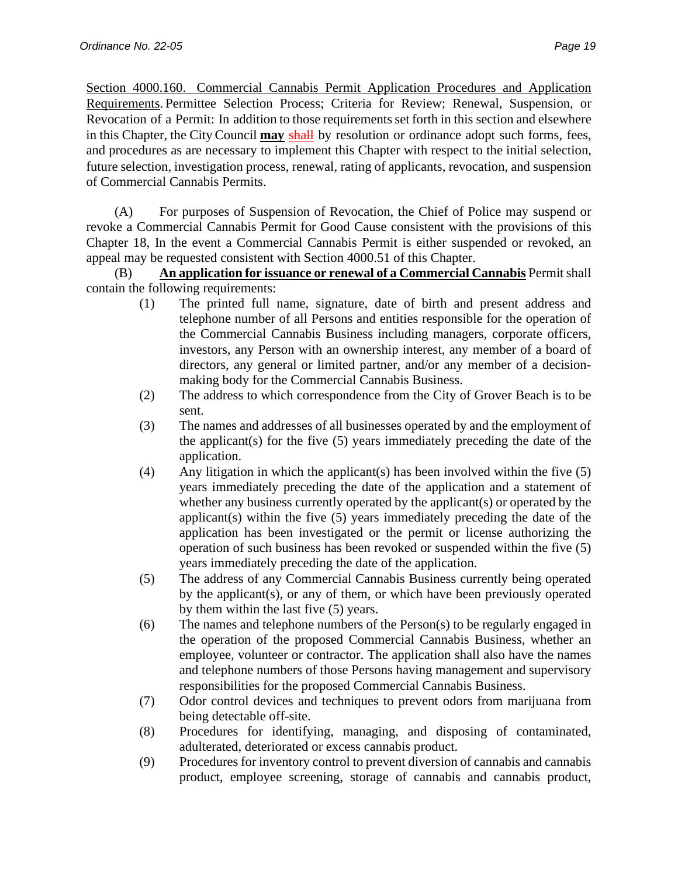Section 4000.160. Commercial Cannabis Permit Application Procedures and Application Requirements. Permittee Selection Process; Criteria for Review; Renewal, Suspension, or Revocation of a Permit: In addition to those requirements set forth in this section and elsewhere in this Chapter, the City Council **may** shall by resolution or ordinance adopt such forms, fees, and procedures as are necessary to implement this Chapter with respect to the initial selection, future selection, investigation process, renewal, rating of applicants, revocation, and suspension of Commercial Cannabis Permits.

(A) For purposes of Suspension of Revocation, the Chief of Police may suspend or revoke a Commercial Cannabis Permit for Good Cause consistent with the provisions of this Chapter 18, In the event a Commercial Cannabis Permit is either suspended or revoked, an appeal may be requested consistent with Section 4000.51 of this Chapter.

(B) **An application for issuance or renewal of a Commercial Cannabis** Permit shall contain the following requirements:

- (1) The printed full name, signature, date of birth and present address and telephone number of all Persons and entities responsible for the operation of the Commercial Cannabis Business including managers, corporate officers, investors, any Person with an ownership interest, any member of a board of directors, any general or limited partner, and/or any member of a decisionmaking body for the Commercial Cannabis Business.
- (2) The address to which correspondence from the City of Grover Beach is to be sent.
- (3) The names and addresses of all businesses operated by and the employment of the applicant(s) for the five (5) years immediately preceding the date of the application.
- (4) Any litigation in which the applicant(s) has been involved within the five (5) years immediately preceding the date of the application and a statement of whether any business currently operated by the applicant(s) or operated by the applicant(s) within the five (5) years immediately preceding the date of the application has been investigated or the permit or license authorizing the operation of such business has been revoked or suspended within the five (5) years immediately preceding the date of the application.
- (5) The address of any Commercial Cannabis Business currently being operated by the applicant(s), or any of them, or which have been previously operated by them within the last five (5) years.
- (6) The names and telephone numbers of the Person(s) to be regularly engaged in the operation of the proposed Commercial Cannabis Business, whether an employee, volunteer or contractor. The application shall also have the names and telephone numbers of those Persons having management and supervisory responsibilities for the proposed Commercial Cannabis Business.
- (7) Odor control devices and techniques to prevent odors from marijuana from being detectable off-site.
- (8) Procedures for identifying, managing, and disposing of contaminated, adulterated, deteriorated or excess cannabis product.
- (9) Procedures for inventory control to prevent diversion of cannabis and cannabis product, employee screening, storage of cannabis and cannabis product,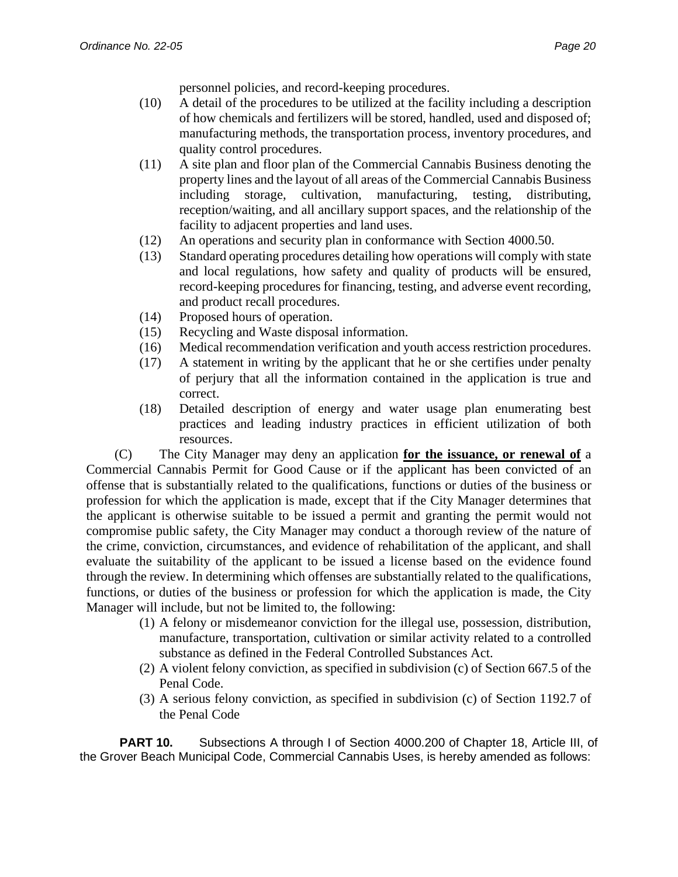personnel policies, and record-keeping procedures.

- (10) A detail of the procedures to be utilized at the facility including a description of how chemicals and fertilizers will be stored, handled, used and disposed of; manufacturing methods, the transportation process, inventory procedures, and quality control procedures.
- (11) A site plan and floor plan of the Commercial Cannabis Business denoting the property lines and the layout of all areas of the Commercial Cannabis Business including storage, cultivation, manufacturing, testing, distributing, reception/waiting, and all ancillary support spaces, and the relationship of the facility to adjacent properties and land uses.
- (12) An operations and security plan in conformance with Section 4000.50.
- (13) Standard operating procedures detailing how operations will comply with state and local regulations, how safety and quality of products will be ensured, record-keeping procedures for financing, testing, and adverse event recording, and product recall procedures.
- (14) Proposed hours of operation.
- (15) Recycling and Waste disposal information.
- (16) Medical recommendation verification and youth access restriction procedures.
- (17) A statement in writing by the applicant that he or she certifies under penalty of perjury that all the information contained in the application is true and correct.
- (18) Detailed description of energy and water usage plan enumerating best practices and leading industry practices in efficient utilization of both resources.

(C) The City Manager may deny an application **for the issuance, or renewal of** a Commercial Cannabis Permit for Good Cause or if the applicant has been convicted of an offense that is substantially related to the qualifications, functions or duties of the business or profession for which the application is made, except that if the City Manager determines that the applicant is otherwise suitable to be issued a permit and granting the permit would not compromise public safety, the City Manager may conduct a thorough review of the nature of the crime, conviction, circumstances, and evidence of rehabilitation of the applicant, and shall evaluate the suitability of the applicant to be issued a license based on the evidence found through the review. In determining which offenses are substantially related to the qualifications, functions, or duties of the business or profession for which the application is made, the City Manager will include, but not be limited to, the following:

- (1) A felony or misdemeanor conviction for the illegal use, possession, distribution, manufacture, transportation, cultivation or similar activity related to a controlled substance as defined in the Federal Controlled Substances Act.
- (2) A violent felony conviction, as specified in subdivision (c) of Section 667.5 of the Penal Code.
- (3) A serious felony conviction, as specified in subdivision (c) of Section 1192.7 of the Penal Code

**PART 10.** Subsections A through I of Section 4000.200 of Chapter 18, Article III, of the Grover Beach Municipal Code, Commercial Cannabis Uses, is hereby amended as follows: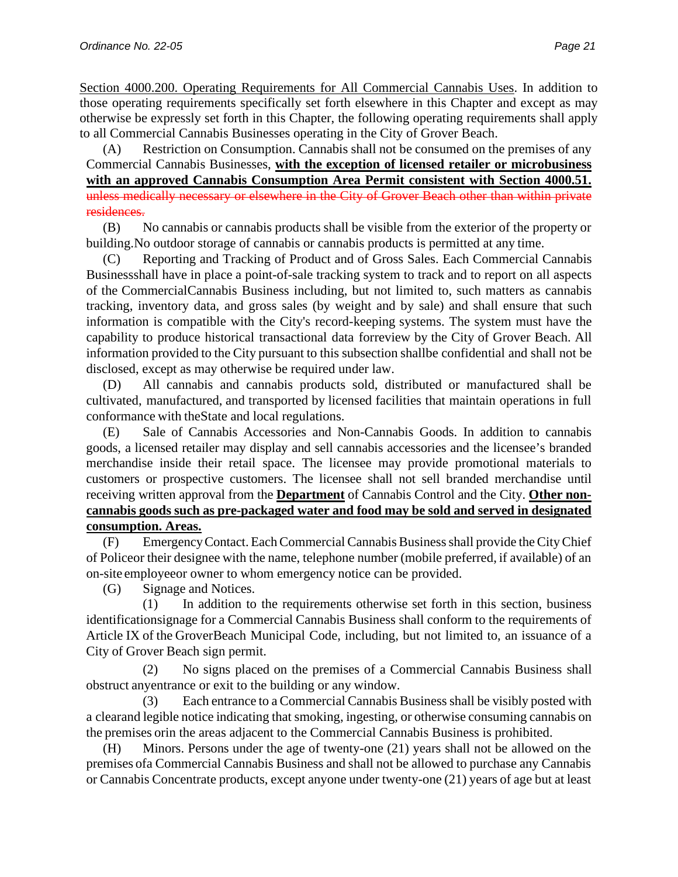Section 4000.200. Operating Requirements for All Commercial Cannabis Uses. In addition to those operating requirements specifically set forth elsewhere in this Chapter and except as may otherwise be expressly set forth in this Chapter, the following operating requirements shall apply to all Commercial Cannabis Businesses operating in the City of Grover Beach.

(A) Restriction on Consumption. Cannabis shall not be consumed on the premises of any Commercial Cannabis Businesses, **with the exception of licensed retailer or microbusiness with an approved Cannabis Consumption Area Permit consistent with Section 4000.51.** unless medically necessary or elsewhere in the City of Grover Beach other than within private residences.

(B) No cannabis or cannabis products shall be visible from the exterior of the property or building.No outdoor storage of cannabis or cannabis products is permitted at any time.

(C) Reporting and Tracking of Product and of Gross Sales. Each Commercial Cannabis Businessshall have in place a point-of-sale tracking system to track and to report on all aspects of the CommercialCannabis Business including, but not limited to, such matters as cannabis tracking, inventory data, and gross sales (by weight and by sale) and shall ensure that such information is compatible with the City's record-keeping systems. The system must have the capability to produce historical transactional data forreview by the City of Grover Beach. All information provided to the City pursuant to this subsection shallbe confidential and shall not be disclosed, except as may otherwise be required under law.

(D) All cannabis and cannabis products sold, distributed or manufactured shall be cultivated, manufactured, and transported by licensed facilities that maintain operations in full conformance with theState and local regulations.

(E) Sale of Cannabis Accessories and Non-Cannabis Goods. In addition to cannabis goods, a licensed retailer may display and sell cannabis accessories and the licensee's branded merchandise inside their retail space. The licensee may provide promotional materials to customers or prospective customers. The licensee shall not sell branded merchandise until receiving written approval from the **Department** of Cannabis Control and the City. **Other noncannabis goods such as pre-packaged water and food may be sold and served in designated consumption. Areas.**

(F) EmergencyContact. EachCommercial Cannabis Businessshall provide theCityChief of Policeor their designee with the name, telephone number (mobile preferred, if available) of an on-site employeeor owner to whom emergency notice can be provided.

(G) Signage and Notices.

(1) In addition to the requirements otherwise set forth in this section, business identificationsignage for a Commercial Cannabis Business shall conform to the requirements of Article IX of the GroverBeach Municipal Code, including, but not limited to, an issuance of a City of Grover Beach sign permit.

(2) No signs placed on the premises of a Commercial Cannabis Business shall obstruct anyentrance or exit to the building or any window.

(3) Each entrance to a Commercial Cannabis Businessshall be visibly posted with a clearand legible notice indicating that smoking, ingesting, or otherwise consuming cannabis on the premises orin the areas adjacent to the Commercial Cannabis Business is prohibited.

(H) Minors. Persons under the age of twenty-one (21) years shall not be allowed on the premises ofa Commercial Cannabis Business and shall not be allowed to purchase any Cannabis or Cannabis Concentrate products, except anyone under twenty-one (21) years of age but at least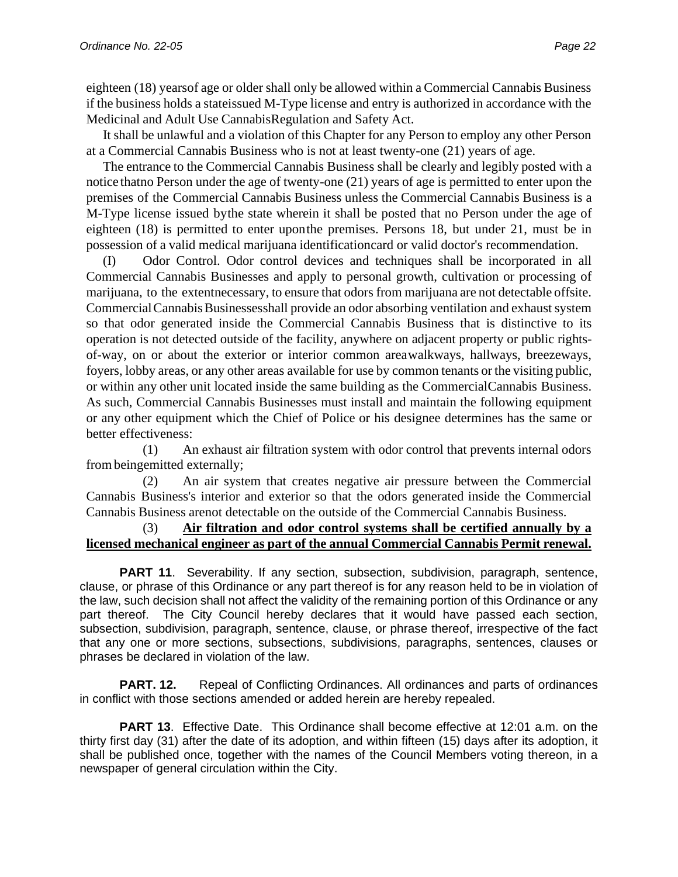eighteen (18) yearsof age or older shall only be allowed within a Commercial Cannabis Business if the business holds a stateissued M-Type license and entry is authorized in accordance with the Medicinal and Adult Use Cannabis Regulation and Safety Act.

It shall be unlawful and a violation of this Chapter for any Person to employ any other Person at a Commercial Cannabis Business who is not at least twenty-one (21) years of age.

The entrance to the Commercial Cannabis Business shall be clearly and legibly posted with a notice thatno Person under the age of twenty-one (21) years of age is permitted to enter upon the premises of the Commercial Cannabis Business unless the Commercial Cannabis Business is a M-Type license issued by the state wherein it shall be posted that no Person under the age of eighteen (18) is permitted to enter upon the premises. Persons 18, but under 21, must be in possession of a valid medical marijuana identificationcard or valid doctor's recommendation.

(I) Odor Control. Odor control devices and techniques shall be incorporated in all Commercial Cannabis Businesses and apply to personal growth, cultivation or processing of marijuana, to the extentnecessary, to ensure that odors from marijuana are not detectable offsite. CommercialCannabisBusinessesshall provide an odor absorbing ventilation and exhaust system so that odor generated inside the Commercial Cannabis Business that is distinctive to its operation is not detected outside of the facility, anywhere on adjacent property or public rightsof-way, on or about the exterior or interior common areawalkways, hallways, breezeways, foyers, lobby areas, or any other areas available for use by common tenants or the visiting public, or within any other unit located inside the same building as the CommercialCannabis Business. As such, Commercial Cannabis Businesses must install and maintain the following equipment or any other equipment which the Chief of Police or his designee determines has the same or better effectiveness:

(1) An exhaust air filtration system with odor control that prevents internal odors from being emitted externally;

(2) An air system that creates negative air pressure between the Commercial Cannabis Business's interior and exterior so that the odors generated inside the Commercial Cannabis Business are not detectable on the outside of the Commercial Cannabis Business.

### (3) **Air filtration and odor control systems shall be certified annually by a licensed mechanical engineer as part of the annual Commercial Cannabis Permit renewal.**

**PART 11.** Severability. If any section, subsection, subdivision, paragraph, sentence, clause, or phrase of this Ordinance or any part thereof is for any reason held to be in violation of the law, such decision shall not affect the validity of the remaining portion of this Ordinance or any part thereof. The City Council hereby declares that it would have passed each section, subsection, subdivision, paragraph, sentence, clause, or phrase thereof, irrespective of the fact that any one or more sections, subsections, subdivisions, paragraphs, sentences, clauses or phrases be declared in violation of the law.

**PART. 12.** Repeal of Conflicting Ordinances. All ordinances and parts of ordinances in conflict with those sections amended or added herein are hereby repealed.

**PART 13**. Effective Date. This Ordinance shall become effective at 12:01 a.m. on the thirty first day (31) after the date of its adoption, and within fifteen (15) days after its adoption, it shall be published once, together with the names of the Council Members voting thereon, in a newspaper of general circulation within the City.